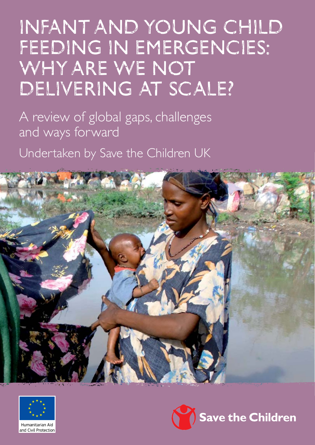# Infant and Young Child FEEDING IN EMERGENCIES: WHY ARE WE NOT DELIVERING AT SCALE?

A review of global gaps, challenges and ways forward

Undertaken by Save the Children UK





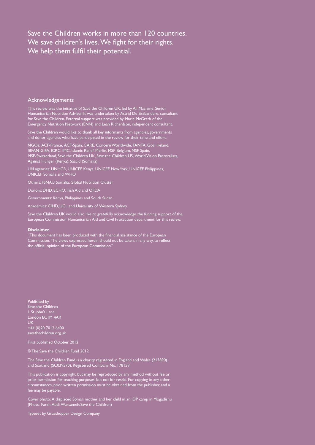### Save the Children works in more than 120 countries. We save children's lives. We fight for their rights. We help them fulfil their potential.

#### Acknowledgements

This review was the initiative of Save the Children UK, led by Ali Maclaine, Senior Humanitarian Nutrition Adviser. It was undertaken by Astrid De Brabandere, consultant for Save the Children. External support was provided by Marie McGrath of the Emergency Nutrition Network (ENN) and Leah Richardson, independent consultant.

Save the Children would like to thank all key informants from agencies, governments and donor agencies who have participated in the review for their time and effort:

NGOs: ACF-France, ACF-Spain, CARE, Concern Worldwide, FANTA, Goal Ireland, IBFAN-GIFA, ICRC, IMC, Islamic Relief, Merlin, MSF-Belgium, MSF-Spain, MSF-Switzerland, Save the Children UK, Save the Children US, World Vision Pastoralists, Against Hunger (Kenya), Saacid (Somalia)

UN agencies: UNHCR, UNICEF Kenya, UNICEF New York, UNICEF Philippines, UNICEF Somalia and WHO

Others: FSNAU Somalia, Global Nutrition Cluster

Donors: DFID, ECHO, Irish Aid and OFDA

Governments: Kenya, Philippines and South Sudan

Academics: CIHD, UCL and University of Western Sydney

Save the Children UK would also like to gratefully acknowledge the funding support of the European Commission Humanitarian Aid and Civil Protection department for this review.

#### **Disclaimer**

"This document has been produced with the financial assistance of the European Commission. The views expressed herein should not be taken, in any way, to reflect the official opinion of the European Commission."

Published by Save the Children 1 St John's Lane London EC1M 4AR UK +44 (0)20 7012 6400 savethechildren.org.uk

First published October 2012

© The Save the Children Fund 2012

The Save the Children Fund is a charity registered in England and Wales (213890) and Scotland (SC039570). Registered Company No. 178159

This publication is copyright, but may be reproduced by any method without fee or prior permission for teaching purposes, but not for resale. For copying in any other circumstances, prior written permission must be obtained from the publisher, and a fee may be payable.

Cover photo: A displaced Somali mother and her child in an IDP camp in Mogadishu (Photo: Farah Abdi Warsameh/Save the Children)

Typeset by Grasshopper Design Company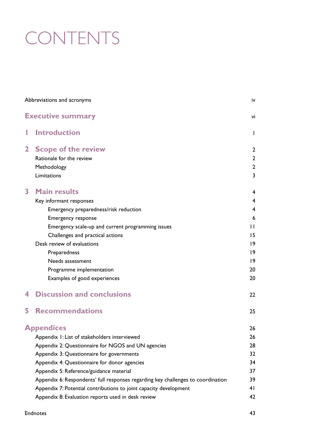# **CONTENTS**

| Abbreviations and acronyms |                                                                                  | iv             |
|----------------------------|----------------------------------------------------------------------------------|----------------|
|                            | <b>Executive summary</b>                                                         | vi             |
| I                          | <b>Introduction</b>                                                              | $\mathbf{I}$   |
| $\mathbf{2}$               | <b>Scope of the review</b>                                                       | $\overline{2}$ |
|                            | Rationale for the review                                                         | $\overline{2}$ |
|                            | Methodology                                                                      | $\overline{2}$ |
|                            | Limitations                                                                      | 3              |
| 3                          | <b>Main results</b>                                                              | $\overline{4}$ |
|                            | Key informant responses                                                          | 4              |
|                            | Emergency preparedness/risk reduction                                            | $\overline{4}$ |
|                            | <b>Emergency response</b>                                                        | 6              |
|                            | Emergency scale-up and current programming issues                                | $\mathbf{L}$   |
|                            | Challenges and practical actions                                                 | 15             |
|                            | Desk review of evaluations                                                       | $ 9\rangle$    |
|                            | Preparedness                                                                     | $ 9\rangle$    |
|                            | Needs assessment                                                                 | $ 9\rangle$    |
|                            | Programme implementation                                                         | 20             |
|                            | Examples of good experiences                                                     | 20             |
| 4                          | <b>Discussion and conclusions</b>                                                | 22             |
| 5                          | <b>Recommendations</b>                                                           | 25             |
|                            | <b>Appendices</b>                                                                | 26             |
|                            | Appendix 1: List of stakeholders interviewed                                     | 26             |
|                            | Appendix 2: Questionnaire for NGOS and UN agencies                               | 28             |
|                            | Appendix 3: Questionnaire for governments                                        | 32             |
|                            | Appendix 4: Questionnaire for donor agencies                                     | 34             |
|                            | Appendix 5: Reference/guidance material                                          | 37             |
|                            | Appendix 6: Respondents' full responses regarding key challenges to coordination | 39             |
|                            | Appendix 7: Potential contributions to joint capacity development                | 41             |
|                            | Appendix 8: Evaluation reports used in desk review                               | 42             |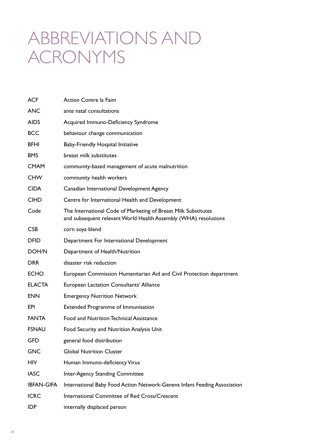## ABBREVIATIONS AND acronyms

| <b>ACF</b>        | Action Contre la Faim                                                                                                             |
|-------------------|-----------------------------------------------------------------------------------------------------------------------------------|
| <b>ANC</b>        | ante natal consultations                                                                                                          |
| <b>AIDS</b>       | Acquired Immuno-Deficiency Syndrome                                                                                               |
| <b>BCC</b>        | behaviour change communication                                                                                                    |
| <b>BFHI</b>       | Baby-Friendly Hospital Initiative                                                                                                 |
| <b>BMS</b>        | breast milk substitutes                                                                                                           |
| <b>CMAM</b>       | community-based management of acute malnutrition                                                                                  |
| <b>CHW</b>        | community health workers                                                                                                          |
| <b>CIDA</b>       | Canadian International Development Agency                                                                                         |
| <b>CIHD</b>       | Centre for International Health and Development                                                                                   |
| Code              | The International Code of Marketing of Breast Milk Substitutes<br>and subsequent relevant World Health Assembly (WHA) resolutions |
| <b>CSB</b>        | corn soya blend                                                                                                                   |
| <b>DFID</b>       | Department For International Development                                                                                          |
| DOH/N             | Department of Health/Nutrition                                                                                                    |
| <b>DRR</b>        | disaster risk reduction                                                                                                           |
| <b>ECHO</b>       | European Commission Humanitarian Aid and Civil Protection department                                                              |
| <b>ELACTA</b>     | <b>European Lactation Consultants' Alliance</b>                                                                                   |
| <b>ENN</b>        | <b>Emergency Nutrition Network</b>                                                                                                |
| EPI               | <b>Extended Programme of Immunisation</b>                                                                                         |
| <b>FANTA</b>      | Food and Nutrition Technical Assistance                                                                                           |
| <b>FSNAU</b>      | Food Security and Nutrition Analysis Unit                                                                                         |
| GFD               | general food distribution                                                                                                         |
| <b>GNC</b>        | <b>Global Nutrition Cluster</b>                                                                                                   |
| <b>HIV</b>        | Human Immuno-deficiency Virus                                                                                                     |
| <b>IASC</b>       | Inter-Agency Standing Committee                                                                                                   |
| <b>IBFAN-GIFA</b> | International Baby Food Action Network-Geneva Infant Feeding Association                                                          |
| <b>ICRC</b>       | International Committee of Red Cross/Crescent                                                                                     |
| <b>IDP</b>        | internally displaced person                                                                                                       |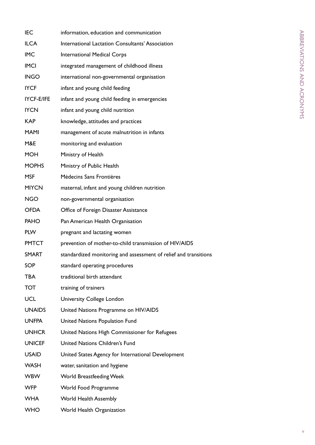| <b>IEC</b>    | information, education and communication                         |
|---------------|------------------------------------------------------------------|
| <b>ILCA</b>   | International Lactation Consultants' Association                 |
| <b>IMC</b>    | <b>International Medical Corps</b>                               |
| <b>IMCI</b>   | integrated management of childhood illness                       |
| <b>INGO</b>   | international non-governmental organisation                      |
| <b>IYCF</b>   | infant and young child feeding                                   |
| IYCF-E/IFE    | infant and young child feeding in emergencies                    |
| <b>IYCN</b>   | infant and young child nutrition                                 |
| <b>KAP</b>    | knowledge, attitudes and practices                               |
| <b>MAMI</b>   | management of acute malnutrition in infants                      |
| M&E           | monitoring and evaluation                                        |
| <b>MOH</b>    | Ministry of Health                                               |
| <b>MOPHS</b>  | Ministry of Public Health                                        |
| <b>MSF</b>    | Médecins Sans Frontières                                         |
| <b>MIYCN</b>  | maternal, infant and young children nutrition                    |
| NGO.          | non-governmental organisation                                    |
| <b>OFDA</b>   | Office of Foreign Disaster Assistance                            |
| <b>PAHO</b>   | Pan American Health Organisation                                 |
| <b>PLW</b>    | pregnant and lactating women                                     |
| <b>PMTCT</b>  | prevention of mother-to-child transmission of HIV/AIDS           |
| <b>SMART</b>  | standardized monitoring and assessment of relief and transitions |
| SOP           | standard operating procedures                                    |
| <b>TBA</b>    | traditional birth attendant                                      |
| <b>TOT</b>    | training of trainers                                             |
| <b>UCL</b>    | <b>University College London</b>                                 |
| <b>UNAIDS</b> | United Nations Programme on HIV/AIDS                             |
| <b>UNFPA</b>  | United Nations Population Fund                                   |
| <b>UNHCR</b>  | United Nations High Commissioner for Refugees                    |
| <b>UNICEF</b> | United Nations Children's Fund                                   |
| <b>USAID</b>  | United States Agency for International Development               |
| <b>WASH</b>   | water, sanitation and hygiene                                    |
| <b>WBW</b>    | <b>World Breastfeeding Week</b>                                  |
| <b>WFP</b>    | World Food Programme                                             |
| <b>WHA</b>    | <b>World Health Assembly</b>                                     |
| <b>WHO</b>    | World Health Organization                                        |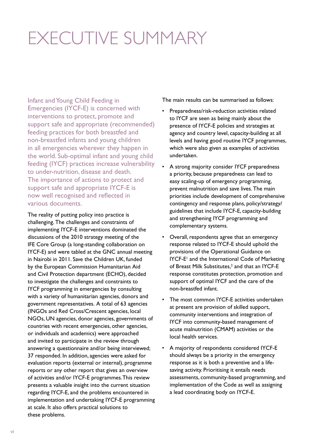# EXECUTIVE SUMMARY

Infant and Young Child Feeding in Emergencies (IYCF-E) is concerned with interventions to protect, promote and support safe and appropriate (recommended) feeding practices for both breastfed and non-breastfed infants and young children in all emergencies wherever they happen in the world. Sub-optimal infant and young child feeding (IYCF) practices increase vulnerability to under-nutrition, disease and death. The importance of actions to protect and support safe and appropriate IYCF-E is now well recognised and reflected in various documents.

The reality of putting policy into practice is challenging. The challenges and constraints of implementing IYCF-E interventions dominated the discussions of the 2010 strategy meeting of the IFE Core Group (a long-standing collaboration on IYCF-E) and were tabled at the GNC annual meeting in Nairobi in 2011. Save the Children UK, funded by the European Commission Humanitarian Aid and Civil Protection department (ECHO), decided to investigate the challenges and constraints to IYCF programming in emergencies by consulting with a variety of humanitarian agencies, donors and government representatives. A total of 63 agencies (INGOs and Red Cross/Crescent agencies, local NGOs, UN agencies, donor agencies, governments of countries with recent emergencies, other agencies, or individuals and academics) were approached and invited to participate in the review through answering a questionnaire and/or being interviewed; 37 responded. In addition, agencies were asked for evaluation reports (external or internal), programme reports or any other report that gives an overview of activities and/or IYCF-E programmes. This review presents a valuable insight into the current situation regarding IYCF-E, and the problems encountered in implementation and undertaking IYCF-E programming at scale. It also offers practical solutions to these problems.

The main results can be summarised as follows:

- Preparedness/risk-reduction activities related to IYCF are seen as being mainly about the presence of IYCF-E policies and strategies at agency and country level, capacity-building at all levels and having good routine IYCF programmes, which were also given as examples of activities undertaken.
- A strong majority consider IYCF preparedness a priority, because preparedness can lead to easy scaling-up of emergency programming, prevent malnutrition and save lives. The main priorities include development of comprehensive contingency and response plans, policy/strategy/ guidelines that include IYCF-E, capacity-building and strengthening IYCF programming and complementary systems.
- Overall, respondents agree that an emergency response related to IYCF-E should uphold the provisions of the Operational Guidance on IYCF-E<sup>1</sup> and the International Code of Marketing of Breast Milk Substitutes,<sup>2</sup> and that an IYCF-E response constitutes protection, promotion and support of optimal IYCF and the care of the non-breastfed infant.
- The most common IYCF-E activities undertaken at present are provision of skilled support, community interventions and integration of IYCF into community-based management of acute malnutrition (CMAM) activities or the local health services.
- A majority of respondents considered IYCF-E should always be a priority in the emergency response as it is both a preventive and a lifesaving activity. Prioritising it entails needs assessments, community-based programming, and implementation of the Code as well as assigning a lead coordinating body on IYCF-E.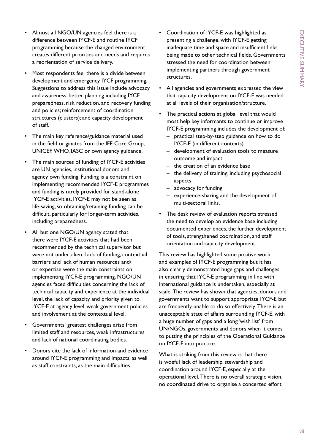- Almost all NGO/UN agencies feel there is a difference between IYCF-E and routine IYCF programming because the changed environment creates different priorities and needs and requires a reorientation of service delivery.
- Most respondents feel there is a divide between development and emergency IYCF programming. Suggestions to address this issue include advocacy and awareness; better planning including IYCF preparedness, risk reduction, and recovery funding and policies; reinforcement of coordination structures (clusters); and capacity development of staff.
- The main key reference/guidance material used in the field originates from the IFE Core Group, UNICEF, WHO, IASC or own agency guidance.
- The main sources of funding of IYCF-E activities are UN agencies, institutional donors and agency own funding. Funding is a constraint on implementing recommended IYCF-E programmes and funding is rarely provided for stand-alone IYCF-E activities. IYCF-E may not be seen as life-saving, so obtaining/retaining funding can be difficult, particularly for longer-term activities, including preparedness.
- All but one NGO/UN agency stated that there were IYCF-E activities that had been recommended by the technical supervisor but were not undertaken. Lack of funding, contextual barriers and lack of human resources and/ or expertise were the main constraints on implementing IYCF-E programming. NGO/UN agencies faced difficulties concerning the lack of technical capacity and experience at the individual level, the lack of capacity and priority given to IYCF-E at agency level, weak government policies and involvement at the contextual level.
- Governments' greatest challenges arise from limited staff and resources, weak infrastructures and lack of national coordinating bodies.
- Donors cite the lack of information and evidence around IYCF-E programming and impacts, as well as staff constraints, as the main difficulties.
- Coordination of IYCF-E was highlighted as presenting a challenge, with IYCF-E getting inadequate time and space and insufficient links being made to other technical fields. Governments stressed the need for coordination between implementing partners through government structures.
- All agencies and governments expressed the view that capacity development on IYCF-E was needed at all levels of their organisation/structure.
- The practical actions at global level that would most help key informants to continue or improve IYCF-E programming includes the development of:
	- practical step-by-step guidance on how to do IYCF-E (in different contexts)
	- development of evaluation tools to measure outcome and impact
	- the creation of an evidence base
	- the delivery of training, including psychosocial aspects
	- advocacy for funding
	- experience-sharing and the development of multi-sectoral links.
- The desk review of evaluation reports stressed the need to develop an evidence base including documented experiences, the further development of tools, strengthened coordination, and staff orientation and capacity development.

This review has highlighted some positive work and examples of IYCF-E programming but it has also clearly demonstrated huge gaps and challenges in ensuring that IYCF-E programming in line with international guidance is undertaken, especially at scale. The review has shown that agencies, donors and governments want to support appropriate IYCF-E but are frequently unable to do so effectively. There is an unacceptable state of affairs surrounding IYCF-E, with a huge number of gaps and a long 'wish list' from UN/NGOs, governments and donors when it comes to putting the principles of the Operational Guidance on IYCF-E into practice.

What is striking from this review is that there is woeful lack of leadership, stewardship and coordination around IYCF-E, especially at the operational level. There is no overall strategic vision, no coordinated drive to organise a concerted effort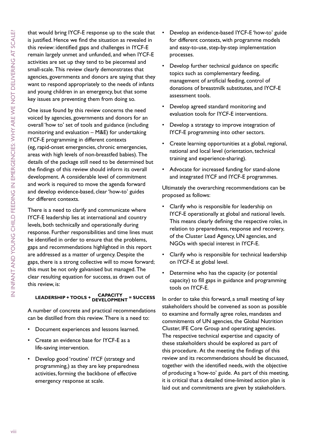that would bring IYCF-E response up to the scale that is justified. Hence we find the situation as revealed in this review: identified gaps and challenges in IYCF-E remain largely unmet and unfunded, and when IYCF-E activities are set up they tend to be piecemeal and small-scale. This review clearly demonstrates that agencies, governments and donors are saying that they want to respond appropriately to the needs of infants and young children in an emergency, but that some key issues are preventing them from doing so.

One issue found by this review concerns the need voiced by agencies, governments and donors for an overall 'how to' set of tools and guidance (including monitoring and evaluation – M&E) for undertaking IYCF-E programming in different contexts (eg, rapid-onset emergencies, chronic emergencies, areas with high levels of non-breastfed babies). The details of the package still need to be determined but the findings of this review should inform its overall development. A considerable level of commitment and work is required to move the agenda forward and develop evidence-based, clear 'how-to' guides for different contexts.

There is a need to clarify and communicate where IYCF-E leadership lies at international and country levels, both technically and operationally during response. Further responsibilities and time lines must be identified in order to ensure that the problems, gaps and recommendations highlighted in this report are addressed as a matter of urgency. Despite the gaps, there is a strong collective will to move forward; this must be not only galvanised but managed. The clear resulting equation for success, as drawn out of this review, is:

## **LEADERSHIP + TOOLS + CAPACITY DEVELOPMENT = SUCCESS**

A number of concrete and practical recommendations can be distilled from this review. There is a need to:

- Document experiences and lessons learned.
- Create an evidence base for IYCF-E as a life-saving intervention.
- • Develop good 'routine' IYCF (strategy and programming,) as they are key preparedness activities, forming the backbone of effective emergency response at scale.
- Develop an evidence-based IYCF-E 'how-to' guide for different contexts, with programme models and easy-to-use, step-by-step implementation processes.
- Develop further technical guidance on specific topics such as complementary feeding, management of artificial feeding, control of donations of breastmilk substitutes, and IYCF-E assessment tools.
- Develop agreed standard monitoring and evaluation tools for IYCF-E interventions.
- • Develop a strategy to improve integration of IYCF-E programming into other sectors.
- Create learning opportunities at a global, regional, national and local level (orientation, technical training and experience-sharing).
- • Advocate for increased funding for stand-alone and integrated IYCF and IYCF-E programmes.

Ultimately the overarching recommendations can be proposed as follows:

- Clarify who is responsible for leadership on IYCF-E operationally at global and national levels. This means clearly defining the respective roles, in relation to preparedness, response and recovery, of the Cluster Lead Agency, UN agencies, and NGOs with special interest in IYCF-E.
- • Clarify who is responsible for technical leadership on IYCF-E at global level.
- Determine who has the capacity (or potential capacity) to fill gaps in guidance and programming tools on IYCF-E.

In order to take this forward, a small meeting of key stakeholders should be convened as soon as possible to examine and formally agree roles, mandates and commitments of UN agencies, the Global Nutrition Cluster, IFE Core Group and operating agencies. The respective technical expertise and capacity of these stakeholders should be explored as part of this procedure. At the meeting the findings of this review and its recommendations should be discussed, together with the identified needs, with the objective of producing a 'how-to' guide. As part of this meeting, it is critical that a detailed time-limited action plan is laid out and commitments are given by stakeholders.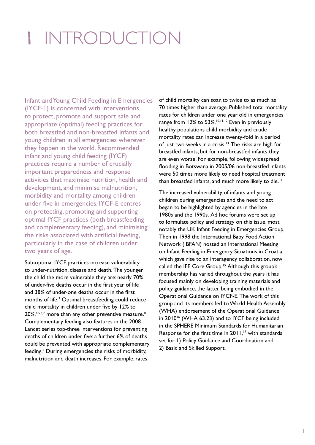# 1 introduction

Infant and Young Child Feeding in Emergencies (IYCF-E) is concerned with interventions to protect, promote and support safe and appropriate (optimal) feeding practices for both breastfed and non-breastfed infants and young children in all emergencies wherever they happen in the world. Recommended infant and young child feeding (IYCF) practices require a number of crucially important preparedness and response activities that maximise nutrition, health and development, and minimise malnutrition, morbidity and mortality among children under five in emergencies. IYCF-E centres on protecting, promoting and supporting optimal IYCF practices (both breastfeeding and complementary feeding), and minimising the risks associated with artificial feeding, particularly in the case of children under two years of age.

Sub-optimal IYCF practices increase vulnerability to under-nutrition, disease and death. The younger the child the more vulnerable they are: nearly 70% of under-five deaths occur in the first year of life and 38% of under-one deaths occur in the first months of life.3 Optimal breastfeeding could reduce child mortality in children under five by 12% to  $20\%, ^{4,5,6,7}$  more than any other preventive measure.<sup>8</sup> Complementary feeding also features in the 2008 Lancet series top-three interventions for preventing deaths of children under five: a further 6% of deaths could be prevented with appropriate complementary feeding.<sup>9</sup> During emergencies the risks of morbidity, malnutrition and death increases. For example, rates

of child mortality can soar, to twice to as much as 70 times higher than average. Published total mortality rates for children under one year old in emergencies range from 12% to 53%.<sup>10,11,12</sup> Even in previously healthy populations child morbidity and crude mortality rates can increase twenty-fold in a period of just two weeks in a crisis.<sup>13</sup> The risks are high for breastfed infants, but for non-breastfed infants they are even worse. For example, following widespread flooding in Botswana in 2005/06 non-breastfed infants were 50 times more likely to need hospital treatment than breastfed infants, and much more likely to die.<sup>14</sup>

The increased vulnerability of infants and young children during emergencies and the need to act began to be highlighted by agencies in the late 1980s and the 1990s. Ad hoc forums were set up to formulate policy and strategy on this issue, most notably the UK Infant Feeding in Emergencies Group. Then in 1998 the International Baby Food Action Network (IBFAN) hosted an International Meeting on Infant Feeding in Emergency Situations in Croatia, which gave rise to an interagency collaboration, now called the IFE Core Group.<sup>15</sup> Although this group's membership has varied throughout the years it has focused mainly on developing training materials and policy guidance, the latter being embodied in the Operational Guidance on IYCF-E. The work of this group and its members led to World Health Assembly (WHA) endorsement of the Operational Guidance in  $2010^{16}$  (WHA 63.23) and to IYCF being included in the SPHERE Minimum Standards for Humanitarian Response for the first time in  $2011$ ,<sup>17</sup> with standards set for 1) Policy Guidance and Coordination and 2) Basic and Skilled Support.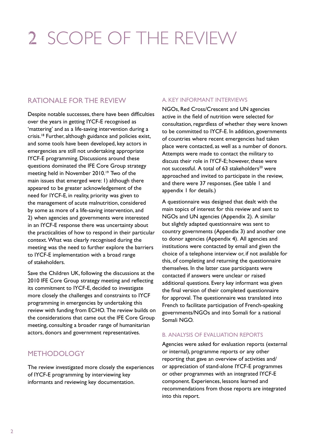# 2 Scope of the review

### Rationale for the review

Despite notable successes, there have been difficulties over the years in getting IYCF-E recognised as 'mattering' and as a life-saving intervention during a crisis.18 Further, although guidance and policies exist, and some tools have been developed, key actors in emergencies are still not undertaking appropriate IYCF-E programming. Discussions around these questions dominated the IFE Core Group strategy meeting held in November 2010.<sup>19</sup> Two of the main issues that emerged were: 1) although there appeared to be greater acknowledgement of the need for IYCF-E, in reality, priority was given to the management of acute malnutrition, considered by some as more of a life-saving intervention, and 2) when agencies and governments were interested in an IYCF-E response there was uncertainty about the practicalities of how to respond in their particular context. What was clearly recognised during the meeting was the need to further explore the barriers to IYCF-E implementation with a broad range of stakeholders.

Save the Children UK, following the discussions at the 2010 IFE Core Group strategy meeting and reflecting its commitment to IYCF-E, decided to investigate more closely the challenges and constraints to IYCF programming in emergencies by undertaking this review with funding from ECHO. The review builds on the considerations that came out the IFE Core Group meeting, consulting a broader range of humanitarian actors, donors and government representatives.

### **METHODOLOGY**

The review investigated more closely the experiences of IYCF-E programming by interviewing key informants and reviewing key documentation.

#### a. Key informant interviews

NGOs, Red Cross/Crescent and UN agencies active in the field of nutrition were selected for consultation, regardless of whether they were known to be committed to IYCF-E. In addition, governments of countries where recent emergencies had taken place were contacted, as well as a number of donors. Attempts were made to contact the military to discuss their role in IYCF-E; however, these were not successful. A total of 63 stakeholders<sup>20</sup> were approached and invited to participate in the review, and there were 37 responses. (See table 1 and appendix 1 for details.)

A questionnaire was designed that dealt with the main topics of interest for this review and sent to NGOs and UN agencies (Appendix 2). A similar but slightly adapted questionnaire was sent to country governments (Appendix 3) and another one to donor agencies (Appendix 4). All agencies and institutions were contacted by email and given the choice of a telephone interview or, if not available for this, of completing and returning the questionnaire themselves. In the latter case participants were contacted if answers were unclear or raised additional questions. Every key informant was given the final version of their completed questionnaire for approval. The questionnaire was translated into French to facilitate participation of French-speaking governments/NGOs and into Somali for a national Somali NGO.

#### b. Analysis of evaluation reports

Agencies were asked for evaluation reports (external or internal), programme reports or any other reporting that gave an overview of activities and/ or appreciation of stand-alone IYCF-E programmes or other programmes with an integrated IYCF-E component. Experiences, lessons learned and recommendations from those reports are integrated into this report.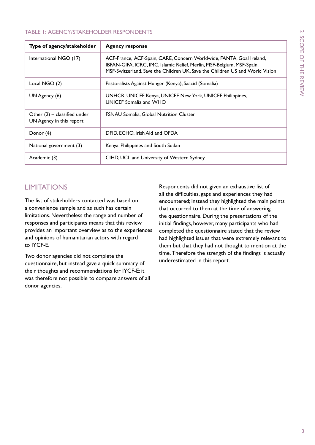#### Table 1: Agency/stakeholder respondents

| Type of agency/stakeholder                                 | <b>Agency response</b>                                                                                                                                                                                                         |
|------------------------------------------------------------|--------------------------------------------------------------------------------------------------------------------------------------------------------------------------------------------------------------------------------|
| International NGO (17)                                     | ACF-France, ACF-Spain, CARE, Concern Worldwide, FANTA, Goal Ireland,<br>IBFAN-GIFA, ICRC, IMC, Islamic Relief, Merlin, MSF-Belgium, MSF-Spain,<br>MSF-Switzerland, Save the Children UK, Save the Children US and World Vision |
| Local NGO (2)                                              | Pastoralists Against Hunger (Kenya), Saacid (Somalia)                                                                                                                                                                          |
| UN Agency (6)                                              | UNHCR, UNICEF Kenya, UNICEF New York, UNICEF Philippines,<br>UNICEF Somalia and WHO                                                                                                                                            |
| Other $(2)$ – classified under<br>UN Agency in this report | <b>FSNAU Somalia, Global Nutrition Cluster</b>                                                                                                                                                                                 |
| Donor (4)                                                  | DFID, ECHO, Irish Aid and OFDA                                                                                                                                                                                                 |
| National government (3)                                    | Kenya, Philippines and South Sudan                                                                                                                                                                                             |
| Academic (3)                                               | CIHD, UCL and University of Western Sydney                                                                                                                                                                                     |

## **LIMITATIONS**

The list of stakeholders contacted was based on a convenience sample and as such has certain limitations. Nevertheless the range and number of responses and participants means that this review provides an important overview as to the experiences and opinions of humanitarian actors with regard to IYCF-E.

Two donor agencies did not complete the questionnaire, but instead gave a quick summary of their thoughts and recommendations for IYCF-E; it was therefore not possible to compare answers of all donor agencies.

Respondents did not given an exhaustive list of all the difficulties, gaps and experiences they had encountered; instead they highlighted the main points that occurred to them at the time of answering the questionnaire. During the presentations of the initial findings, however, many participants who had completed the questionnaire stated that the review had highlighted issues that were extremely relevant to them but that they had not thought to mention at the time. Therefore the strength of the findings is actually underestimated in this report.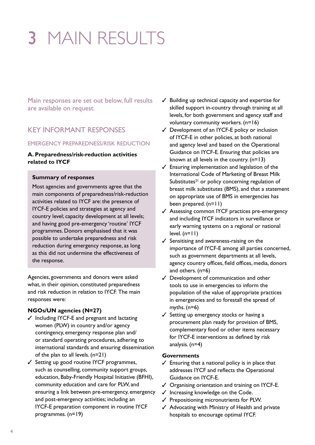# 3 MAIN RESULTS

Main responses are set out below, full results are available on request.

### Key informant responses

#### Emergency Preparedness/Risk Reduction

#### **A. Preparedness/risk-reduction activities related to IYCF**

#### **Summary of responses**

Most agencies and governments agree that the main components of preparedness/risk-reduction activities related to IYCF are: the presence of IYCF-E policies and strategies at agency and country level; capacity development at all levels; and having good pre-emergency 'routine' IYCF programmes. Donors emphasised that it was possible to undertake preparedness and risk reduction during emergency response, as long as this did not undermine the effectiveness of the response.

Agencies, governments and donors were asked what, in their opinion, constituted preparedness and risk reduction in relation to IYCF. The main responses were:

#### **NGOs/UN agencies (N=27)**

- $\checkmark$  Including IYCF-E and pregnant and lactating women (PLW) in country and/or agency contingency, emergency response plan and/ or standard operating procedures, adhering to international standards and ensuring dissemination of the plan to all levels. (n=21)
- $\checkmark$  Setting up good routine IYCF programmes, such as counselling, community support groups, education, Baby-Friendly Hospital Initiative (BFHI), community education and care for PLW, and ensuring a link between pre-emergency, emergency and post-emergency activities; including an IYCF-E preparation component in routine IYCF programmes. (n=19)
- $\checkmark$  Building up technical capacity and expertise for skilled support in-country through training at all levels, for both government and agency staff and voluntary community workers. (n=16)
- $\checkmark$  Development of an IYCF-E policy or inclusion of IYCF-E in other policies, at both national and agency level and based on the Operational Guidance on IYCF-E. Ensuring that policies are known at all levels in the country. (n=13)
- $\checkmark$  Ensuring implementation and legislation of the International Code of Marketing of Breast Milk Substitutes $^{21}$  or policy concerning regulation of breast milk substitutes (BMS), and that a statement on appropriate use of BMS in emergencies has been prepared. (n=11)
- $\checkmark$  Assessing common IYCF practices pre-emergency and including IYCF indicators in surveillance or early warning systems on a regional or national level.  $(n=11)$
- $\checkmark$  Sensitising and awareness-raising on the importance of IYCF-E among all parties concerned, such as government departments at all levels, agency country offices, field offices, media, donors and others. (n=6)
- $\checkmark$  Development of communication and other tools to use in emergencies to inform the population of the value of appropriate practices in emergencies and to forestall the spread of myths.  $(n=6)$
- $\checkmark$  Setting up emergency stocks or having a procurement plan ready for provision of BMS, complementary food or other items necessary for IYCF-E interventions as defined by risk analysis. (n=4)

#### **Governments**

- $\checkmark$  Ensuring that a national policy is in place that addresses IYCF and reflects the Operational Guidance on IYCF-E.
- $\checkmark$  Organising orientation and training on IYCF-E.
- $\checkmark$  Increasing knowledge on the Code.
- $\checkmark$  Prepositioning micronutrients for PLW.
- $\checkmark$  Advocating with Ministry of Health and private hospitals to encourage optimal IYCF.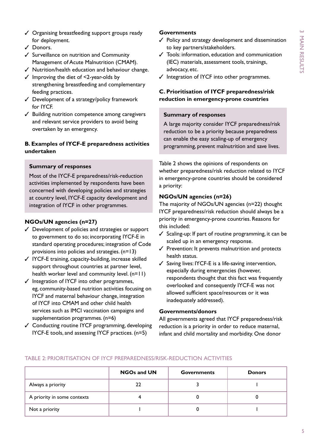- $\checkmark$  Organising breastfeeding support groups ready for deployment.
- $J$  Donors.
- $\checkmark$  Surveillance on nutrition and Community Management of Acute Malnutrition (CMAM).
- $\checkmark$  Nutrition/health education and behaviour change.
- $\checkmark$  Improving the diet of <2-year-olds by strengthening breastfeeding and complementary feeding practices.
- $\checkmark$  Development of a strategy/policy framework for IYCF.
- $\checkmark$  Building nutrition competence among caregivers and relevant service providers to avoid being overtaken by an emergency.

#### **B. Examples of IYCF-E preparedness activities undertaken**

#### **Summary of responses**

Most of the IYCF-E preparedness/risk-reduction activities implemented by respondents have been concerned with developing policies and strategies at country level, IYCF-E capacity development and integration of IYCF in other programmes.

#### **NGOs/UN agencies (n=27)**

- $\checkmark$  Development of policies and strategies or support to government to do so; incorporating IYCF-E in standard operating procedures; integration of Code provisions into policies and strategies. (n=13)
- $\checkmark$  IYCF-E training, capacity-building, increase skilled support throughout countries at partner level, health worker level and community level. (n=11)
- $\checkmark$  Integration of IYCF into other programmes, eg, community-based nutrition activities focusing on IYCF and maternal behaviour change, integration of IYCF into CMAM and other child health services such as IMCI vaccination campaigns and supplementation programmes. (n=6)
- $\checkmark$  Conducting routine IYCF programming, developing IYCF-E tools, and assessing IYCF practices. (n=5)

#### **Governments**

- $\checkmark$  Policy and strategy development and dissemination to key partners/stakeholders.
- $\checkmark$  Tools: information, education and communication (IEC) materials, assessment tools, trainings, advocacy, etc.
- $\checkmark$  Integration of IYCF into other programmes.

#### **C. Prioritisation of IYCF preparedness/risk reduction in emergency-prone countries**

#### **Summary of responses**

A large majority consider IYCF preparedness/risk reduction to be a priority because preparedness can enable the easy scaling-up of emergency programming, prevent malnutrition and save lives.

Table 2 shows the opinions of respondents on whether preparedness/risk reduction related to IYCF in emergency-prone countries should be considered a priority:

#### **NGOs/UN agencies (n=26)**

The majority of NGOs/UN agencies (n=22) thought IYCF preparedness/risk reduction should always be a priority in emergency-prone countries. Reasons for this included:

- $\checkmark$  Scaling-up: If part of routine programming, it can be scaled up in an emergency response.
- $\checkmark$  Prevention: It prevents malnutrition and protects health status.
- $\checkmark$  Saving lives: IYCF-E is a life-saving intervention, especially during emergencies (however, respondents thought that this fact was frequently overlooked and consequently IYCF-E was not allowed sufficient space/resources or it was inadequately addressed).

#### **Governments/donors**

All governments agreed that IYCF preparedness/risk reduction is a priority in order to reduce maternal, infant and child mortality and morbidity. One donor

|                             | <b>NGOs and UN</b> | <b>Governments</b> | <b>Donors</b> |
|-----------------------------|--------------------|--------------------|---------------|
| Always a priority           | 22                 |                    |               |
| A priority in some contexts |                    |                    |               |
| Not a priority              |                    |                    |               |

#### Table 2: Prioritisation of IYCF preparedness/risk-reduction activities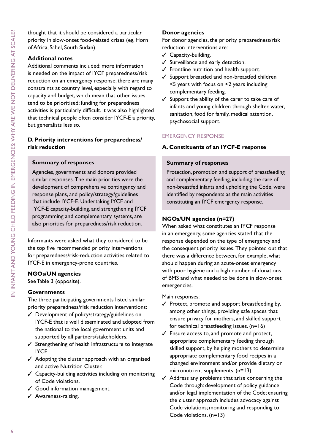thought that it should be considered a particular priority in slow-onset food-related crises (eg, Horn of Africa, Sahel, South Sudan).

#### **Additional notes**

Additional comments included: more information is needed on the impact of IYCF preparedness/risk reduction on an emergency response; there are many constraints at country level, especially with regard to capacity and budget, which mean that other issues tend to be prioritised; funding for preparedness activities is particularly difficult. It was also highlighted that technical people often consider IYCF-E a priority, but generalists less so.

#### **D. Priority interventions for preparedness/ risk reduction**

#### **Summary of responses**

Agencies, governments and donors provided similar responses. The main priorities were the development of comprehensive contingency and response plans, and policy/strategy/guidelines that include IYCF-E. Undertaking IYCF and IYCF-E capacity-building, and strengthening IYCF programming and complementary systems, are also priorities for preparedness/risk reduction.

Informants were asked what they considered to be the top five recommended priority interventions for preparedness/risk-reduction activities related to IYCF-E in emergency-prone countries.

#### **NGOs/UN agencies**

See Table 3 (opposite).

#### **Governments**

The three participating governments listed similar priority preparedness/risk reduction interventions:

- $J$  Development of policy/strategy/guidelines on IYCF-E that is well disseminated and adopted from the national to the local government units and supported by all partners/stakeholders.
- $\checkmark$  Strengthening of health infrastructure to integrate IYCF.
- $\checkmark$  Adopting the cluster approach with an organised and active Nutrition Cluster.
- $\checkmark$  Capacity-building activities including on monitoring of Code violations.
- $\checkmark$  Good information management.
- $\checkmark$  Awareness-raising.

#### **Donor agencies**

For donor agencies, the priority preparedness/risk reduction interventions are:

- $\checkmark$  Capacity-building.
- $\checkmark$  Surveillance and early detection.
- $\checkmark$  Frontline nutrition and health support.
- $\checkmark$  Support breastfed and non-breastfed children <5 years with focus on <2 years including complementary feeding.
- $\checkmark$  Support the ability of the carer to take care of infants and young children through shelter, water, sanitation, food for family, medical attention, psychosocial support.

#### Emergency Response

#### **A. Constituents of an IYCF-E response**

#### **Summary of responses**

Protection, promotion and support of breastfeeding and complementary feeding, including the care of non-breastfed infants and upholding the Code, were identified by respondents as the main activities constituting an IYCF emergency response.

#### **NGOs/UN agencies (n=27)**

When asked what constitutes an IYCF response in an emergency, some agencies stated that the response depended on the type of emergency and the consequent priority issues. They pointed out that there was a difference between, for example, what should happen during an acute-onset emergency with poor hygiene and a high number of donations of BMS and what needed to be done in slow-onset emergencies.

Main responses:

- $\checkmark$  Protect, promote and support breastfeeding by, among other things, providing safe spaces that ensure privacy for mothers, and skilled support for technical breastfeeding issues. (n=16)
- $\checkmark$  Ensure access to, and promote and protect, appropriate complementary feeding through skilled support, by helping mothers to determine appropriate complementary food recipes in a changed environment and/or provide dietary or micronutrient supplements. (n=13)
- $\checkmark$  Address any problems that arise concerning the Code through: development of policy guidance and/or legal implementation of the Code; ensuring the cluster approach includes advocacy against Code violations; monitoring and responding to Code violations. (n=13)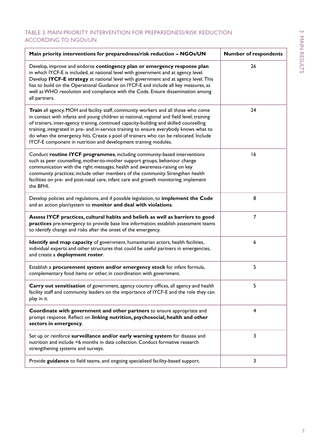#### Table 3: Main priority intervention for preparedness/risk reduction according to NGOs/UN

| Main priority interventions for preparedness/risk reduction - NGOs/UN                                                                                                                                                                                                                                                                                                                                                                                                                                                           | <b>Number of respondents</b> |
|---------------------------------------------------------------------------------------------------------------------------------------------------------------------------------------------------------------------------------------------------------------------------------------------------------------------------------------------------------------------------------------------------------------------------------------------------------------------------------------------------------------------------------|------------------------------|
| Develop, improve and endorse contingency plan or emergency response plan<br>in which IYCF-E is included, at national level with government and at agency level.<br>Develop IYCF-E strategy at national level with government and at agency level. This<br>has to build on the Operational Guidance on IYCF-E and include all key measures, as<br>well as WHO resolution and compliance with the Code. Ensure dissemination among<br>all partners.                                                                               | 26                           |
| Train all agency, MOH and facility staff, community workers and all those who come<br>in contact with infants and young children at national, regional and field level; training<br>of trainers, inter-agency training, continued capacity-building and skilled counselling<br>training, integrated in pre- and in-service training to ensure everybody knows what to<br>do when the emergency hits. Create a pool of trainers who can be relocated. Include<br>IYCF-E component in nutrition and development training modules. | 24                           |
| Conduct routine IYCF programmes, including community-based interventions<br>such as peer counselling, mother-to-mother support groups, behaviour change<br>communication with the right messages, health and awareness-raising on key<br>community practices; include other members of the community. Strengthen health<br>facilities on pre- and post-natal care, infant care and growth monitoring; implement<br>the BFHI.                                                                                                    | 16                           |
| Develop policies and regulations, and if possible legislation, to implement the Code<br>and an action plan/system to monitor and deal with violations.                                                                                                                                                                                                                                                                                                                                                                          | 8                            |
| Assess IYCF practices, cultural habits and beliefs as well as barriers to good<br>practices pre-emergency to provide base line information; establish assessment teams<br>to identify change and risks after the onset of the emergency.                                                                                                                                                                                                                                                                                        | $\overline{7}$               |
| Identify and map capacity of government, humanitarian actors, health facilities,<br>individual experts and other structures that could be useful partners in emergencies,<br>and create a deployment roster.                                                                                                                                                                                                                                                                                                                    | 6                            |
| Establish a procurement system and/or emergency stock for infant formula,<br>complementary food items or other, in coordination with government.                                                                                                                                                                                                                                                                                                                                                                                | 5                            |
| Carry out sensitisation of government, agency country offices, all agency and health<br>facility staff and community leaders on the importance of IYCF-E and the role they can<br>play in it.                                                                                                                                                                                                                                                                                                                                   | 5.                           |
| Coordinate with government and other partners to ensure appropriate and<br>prompt response. Reflect on linking nutrition, psychosocial, health and other<br>sectors in emergency.                                                                                                                                                                                                                                                                                                                                               | 4                            |
| Set up or reinforce surveillance and/or early warning system for disease and<br>nutrition and include <6 months in data collection. Conduct formative research<br>strengthening systems and surveys.                                                                                                                                                                                                                                                                                                                            | 3                            |
| Provide guidance to field teams, and ongoing specialised facility-based support.                                                                                                                                                                                                                                                                                                                                                                                                                                                | 3                            |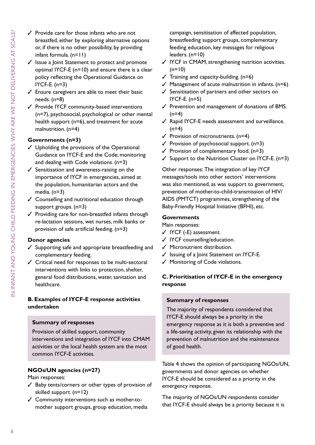- $\checkmark$  Provide care for those infants who are not breastfed, either by exploring alternative options or, if there is no other possibility, by providing infant formula. (n=11)
- $\checkmark$  Issue a Joint Statement to protect and promote optimal IYCF-E (n=10) and ensure there is a clear policy reflecting the Operational Guidance on IYCF-E. (n=3)
- $\checkmark$  Ensure caregivers are able to meet their basic needs. (n=8)
- $\checkmark$  Provide IYCF community-based interventions (n=7), psychosocial, psychological or other mental health support (n=6), and treatment for acute malnutrition. (n=4)

#### **Governments (n=3)**

- $J$  Upholding the provisions of the Operational Guidance on IYCF-E and the Code; monitoring and dealing with Code violations. (n=3)
- $\checkmark$  Sensitisation and awareness-raising on the importance of IYCF in emergencies, aimed at the population, humanitarian actors and the media. (n=3)
- $\checkmark$  Counselling and nutritional education through support groups. (n=3)
- $\checkmark$  Providing care for non-breastfed infants through re-lactation sessions, wet nurses, milk banks or provision of safe artificial feeding. (n=3)

#### **Donor agencies**

- Supporting safe and appropriate breastfeeding and complementary feeding.
- $\checkmark$  Critical need for responses to be multi-sectoral interventions with links to protection, shelter, general food distributions, water, sanitation and healthcare.

#### **B. Examples of IYCF-E response activities undertaken**

#### **Summary of responses**

Provision of skilled support, community interventions and integration of IYCF into CMAM activities or the local health system are the most common IYCF-E activities.

#### **NGOs/UN agencies (n=27)**

#### Main responses:

- $\checkmark$  Baby tents/corners or other types of provision of skilled support. (n=12)
- $\checkmark$  Community interventions such as mother-tomother support groups, group education, media

campaign, sensitisation of affected population, breastfeeding support groups, complementary feeding education, key messages for religious leaders. (n=10)

- $\checkmark$  IYCF in CMAM, strengthening nutrition activities.  $(n=10)$
- $\checkmark$  Training and capacity-building. (n=6)
- $\checkmark$  Management of acute malnutrition in infants. (n=6)
- $\checkmark$  Sensitisation of partners and other sectors on IYCF-E. (n=5)
- $\checkmark$  Prevention and management of donations of BMS.  $(n=4)$
- $\checkmark$  Rapid IYCF-E needs assessment and surveillance.  $(n=4)$
- $\checkmark$  Provision of micronutrients. (n=4)
- $\checkmark$  Provision of psychosocial support. (n=3)
- $\checkmark$  Provision of complementary food. (n=3)
- $\checkmark$  Support to the Nutrition Cluster on IYCF-E. (n=3)

Other responses: The integration of key IYCF messages/tools into other sectors' interventions was also mentioned, as was support to government, prevention of mother-to-child-transmission of HIV/ AIDS (PMTCT) programmes, strengthening of the Baby-Friendly Hospital Initiative (BFHI), etc.

#### **Governments**

Main responses:

- $\checkmark$  IYCF (-E) assessment.
- $\checkmark$  IYCF counselling/education.
- $\checkmark$  Micronutrient distribution.
- $\checkmark$  Issuing of a Joint Statement on IYCF-E.
- $\checkmark$  Monitoring of Code violations.

#### **C. Prioritisation of IYCF-E in the emergency response**

#### **Summary of responses**

The majority of respondents considered that IYCF-E should always be a priority in the emergency response as it is both a preventive and a life-saving activity, given its relationship with the prevention of malnutrition and the maintenance of good health.

Table 4 shows the opinion of participating NGOs/UN, governments and donor agencies on whether IYCF-E should be considered as a priority in the emergency response.

The majority of NGOs/UN respondents consider that IYCF-E should always be a priority because it is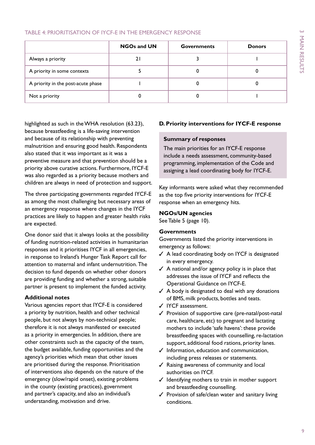#### Table 4: Prioritisation of IYCF-E in the emergency response

|                                    | <b>NGOs and UN</b> | <b>Governments</b> | <b>Donors</b> |
|------------------------------------|--------------------|--------------------|---------------|
| Always a priority                  |                    |                    |               |
| A priority in some contexts        |                    |                    |               |
| A priority in the post-acute phase |                    |                    |               |
| Not a priority                     |                    |                    |               |

highlighted as such in the WHA resolution (63.23), because breastfeeding is a life-saving intervention and because of its relationship with preventing malnutrition and ensuring good health. Respondents also stated that it was important as it was a preventive measure and that prevention should be a priority above curative actions. Furthermore, IYCF-E was also regarded as a priority because mothers and children are always in need of protection and support.

The three participating governments regarded IYCF-E as among the most challenging but necessary areas of an emergency response where changes in the IYCF practices are likely to happen and greater health risks are expected.

One donor said that it always looks at the possibility of funding nutrition-related activities in humanitarian responses and it prioritises IYCF in all emergencies, in response to Ireland's Hunger Task Report call for attention to maternal and infant undernutrition. The decision to fund depends on whether other donors are providing funding and whether a strong, suitable partner is present to implement the funded activity.

#### **Additional notes**

Various agencies report that IYCF-E is considered a priority by nutrition, health and other technical people, but not always by non-technical people; therefore it is not always manifested or executed as a priority in emergencies. In addition, there are other constraints such as the capacity of the team, the budget available, funding opportunities and the agency's priorities which mean that other issues are prioritised during the response. Prioritisation of interventions also depends on the nature of the emergency (slow/rapid onset), existing problems in the county (existing practices), government and partner's capacity, and also an individual's understanding, motivation and drive.

#### **D. Priority interventions for IYCF-E response**

#### **Summary of responses**

The main priorities for an IYCF-E response include a needs assessment, community-based programming, implementation of the Code and assigning a lead coordinating body for IYCF-E.

Key informants were asked what they recommended as the top five priority interventions for IYCF-E response when an emergency hits.

#### **NGOs/UN agencies**

See Table 5 (page 10).

#### **Governments**

Governments listed the priority interventions in emergency as follows:

- $\checkmark$  A lead coordinating body on IYCF is designated in every emergency.
- $\checkmark$  A national and/or agency policy is in place that addresses the issue of IYCF and reflects the Operational Guidance on IYCF-E.
- $\checkmark$  A body is designated to deal with any donations of BMS, milk products, bottles and teats.
- $\checkmark$  IYCF assessment.
- $\checkmark$  Provision of supportive care (pre-natal/post-natal care, healthcare, etc) to pregnant and lactating mothers to include 'safe havens': these provide breastfeeding spaces with counselling, re-lactation support, additional food rations, priority lanes.
- $\checkmark$  Information, education and communication, including press releases or statements.
- $\checkmark$  Raising awareness of community and local authorities on IYCF.
- $\checkmark$  Identifying mothers to train in mother support and breastfeeding counselling.
- $\checkmark$  Provision of safe/clean water and sanitary living conditions.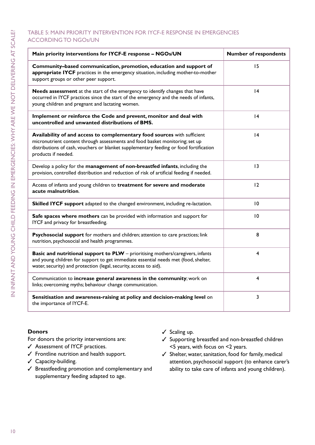#### Table 5: Main priority intervention for IYCF-E response in emergencies according to NGOs/UN

| Main priority interventions for IYCF-E response - NGOs/UN                                                                                                                                                                                                                 | <b>Number of respondents</b> |
|---------------------------------------------------------------------------------------------------------------------------------------------------------------------------------------------------------------------------------------------------------------------------|------------------------------|
| Community-based communication, promotion, education and support of<br>appropriate IYCF practices in the emergency situation, including mother-to-mother<br>support groups or other peer support.                                                                          | 15                           |
| Needs assessment at the start of the emergency to identify changes that have<br>occurred in IYCF practices since the start of the emergency and the needs of infants,<br>young children and pregnant and lactating women.                                                 | 4                            |
| Implement or reinforce the Code and prevent, monitor and deal with<br>uncontrolled and unwanted distributions of BMS.                                                                                                                                                     | 4                            |
| Availability of and access to complementary food sources with sufficient<br>micronutrient content through assessments and food basket monitoring; set up<br>distributions of cash, vouchers or blanket supplementary feeding or food fortification<br>products if needed. | 4                            |
| Develop a policy for the management of non-breastfed infants, including the<br>provision, controlled distribution and reduction of risk of artificial feeding if needed.                                                                                                  | 13                           |
| Access of infants and young children to treatment for severe and moderate<br>acute malnutrition.                                                                                                                                                                          | 12                           |
| Skilled IYCF support adapted to the changed environment, including re-lactation.                                                                                                                                                                                          | 10                           |
| Safe spaces where mothers can be provided with information and support for<br>IYCF and privacy for breastfeeding.                                                                                                                                                         | 10                           |
| Psychosocial support for mothers and children; attention to care practices; link<br>nutrition, psychosocial and health programmes.                                                                                                                                        | 8                            |
| <b>Basic and nutritional support to PLW</b> - prioritising mothers/caregivers, infants<br>and young children for support to get immediate essential needs met (food, shelter,<br>water, security) and protection (legal, security, access to aid).                        | 4                            |
| Communication to increase general awareness in the community; work on<br>links; overcoming myths; behaviour change communication.                                                                                                                                         | $\overline{\mathbf{4}}$      |
| Sensitisation and awareness-raising at policy and decision-making level on<br>the importance of IYCF-E.                                                                                                                                                                   | 3                            |

#### **Donors**

For donors the priority interventions are:

- $\checkmark$  Assessment of IYCF practices.
- $\checkmark$  Frontline nutrition and health support.
- $\checkmark$  Capacity-building.
- $\checkmark$  Breastfeeding promotion and complementary and supplementary feeding adapted to age.
- $\checkmark$  Scaling up.
- $\checkmark$  Supporting breastfed and non-breastfed children <5 years, with focus on <2 years.
- $\checkmark$  Shelter, water, sanitation, food for family, medical attention, psychosocial support (to enhance carer's ability to take care of infants and young children).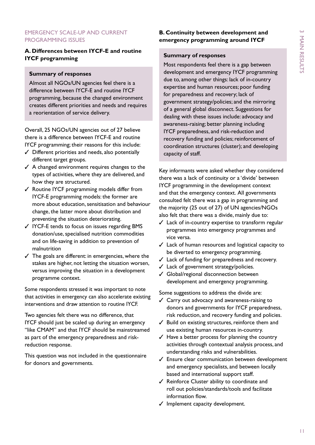#### EMERGENCY SCALE-UP AND CURRENT PROGRAMMING ISSUES

#### **A. Differences between IYCF-E and routine IYCF programming**

#### **Summary of responses**

Almost all NGOs/UN agencies feel there is a difference between IYCF-E and routine IYCF programming, because the changed environment creates different priorities and needs and requires a reorientation of service delivery.

Overall, 25 NGOs/UN agencies out of 27 believe there is a difference between IYCF-E and routine IYCF programming; their reasons for this include:

- $\checkmark$  Different priorities and needs, also potentially different target groups.
- $\angle$  A changed environment requires changes to the types of activities, where they are delivered, and how they are structured.
- $\checkmark$  Routine IYCF programming models differ from IYCF-E programming models: the former are more about education, sensitisation and behaviour change, the latter more about distribution and preventing the situation deteriorating.
- $\checkmark$  IYCF-E tends to focus on issues regarding BMS donation/use, specialised nutrition commodities and on life-saving in addition to prevention of malnutrition
- $\checkmark$  The goals are different: in emergencies, where the stakes are higher, not letting the situation worsen, versus improving the situation in a development programme context.

Some respondents stressed it was important to note that activities in emergency can also accelerate existing interventions and draw attention to routine IYCF.

Two agencies felt there was no difference, that IYCF should just be scaled up during an emergency "like CMAM" and that IYCF should be mainstreamed as part of the emergency preparedness and riskreduction response.

This question was not included in the questionnaire for donors and governments.

#### **B. Continuity between development and emergency programming around IYCF**

#### **Summary of responses**

Most respondents feel there is a gap between development and emergency IYCF programming due to, among other things: lack of in-country expertise and human resources; poor funding for preparedness and recovery; lack of government strategy/policies; and the mirroring of a general global disconnect. Suggestions for dealing with these issues include: advocacy and awareness-raising; better planning including IYCF preparedness, and risk-reduction and recovery funding and policies; reinforcement of coordination structures (cluster); and developing capacity of staff.

Key informants were asked whether they considered there was a lack of continuity or a 'divide' between IYCF programming in the development context and that the emergency context. All governments consulted felt there was a gap in programming and the majority (25 out of 27) of UN agencies/NGOs also felt that there was a divide, mainly due to:

- $\checkmark$  Lack of in-country expertise to transform regular programmes into emergency programmes and vice versa.
- $\checkmark$  Lack of human resources and logistical capacity to be diverted to emergency programming.
- $\checkmark$  Lack of funding for preparedness and recovery.
- $\checkmark$  Lack of government strategy/policies.
- $J$  Global/regional disconnection between development and emergency programming.

Some suggestions to address the divide are:

- $\checkmark$  Carry out advocacy and awareness-raising to donors and governments for IYCF preparedness, risk reduction, and recovery funding and policies.
- $\checkmark$  Build on existing structures, reinforce them and use existing human resources in-country.
- $\checkmark$  Have a better process for planning the country activities through contextual analysis process, and understanding risks and vulnerabilities.
- $\checkmark$  Ensure clear communication between development and emergency specialists, and between locally based and international support staff.
- $\checkmark$  Reinforce Cluster ability to coordinate and roll out policies/standards/tools and facilitate information flow.
- $\checkmark$  Implement capacity development.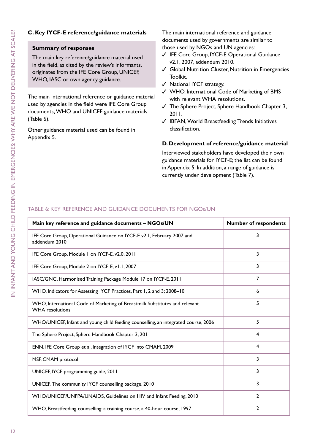#### **C. Key IYCF-E reference/guidance materials**

#### **Summary of responses**

The main key reference/guidance material used in the field, as cited by the review's informants, originates from the IFE Core Group, UNICEF, WHO, IASC or own agency guidance.

The main international reference or guidance material used by agencies in the field were IFE Core Group documents, WHO and UNICEF guidance materials (Table 6).

Other guidance material used can be found in Appendix 5.

The main international reference and guidance documents used by governments are similar to those used by NGOs and UN agencies:

- √ IFE Core Group, IYCF-E Operational Guidance v2.1, 2007, addendum 2010.
- $\checkmark$  Global Nutrition Cluster, Nutrition in Emergencies Toolkit.
- $\checkmark$  National IYCF strategy.
- √ WHO, International Code of Marketing of BMS with relevant WHA resolutions.
- $\checkmark$  The Sphere Project, Sphere Handbook Chapter 3, 2011.
- $\checkmark$  IBFAN, World Breastfeeding Trends Initiatives classification.

#### **D. Development of reference/guidance material**

Interviewed stakeholders have developed their own guidance materials for IYCF-E; the list can be found in Appendix 5. In addition, a range of guidance is currently under development (Table 7).

#### Table 6: Key reference and guidance documents for NGOs/UN

| Main key reference and guidance documents - NGOs/UN                                                   | <b>Number of respondents</b> |
|-------------------------------------------------------------------------------------------------------|------------------------------|
| IFE Core Group, Operational Guidance on IYCF-E v2.1, February 2007 and<br>addendum 2010               | 13                           |
| IFE Core Group, Module 1 on IYCF-E, v2.0, 2011                                                        | 3                            |
| IFE Core Group, Module 2 on IYCF-E, v1.1, 2007                                                        | $\overline{13}$              |
| IASC/GNC, Harmonised Training Package Module 17 on IYCF-E, 2011                                       | $\overline{7}$               |
| WHO, Indicators for Assessing IYCF Practices, Part 1, 2 and 3; 2008-10                                | 6                            |
| WHO, International Code of Marketing of Breastmilk Substitutes and relevant<br><b>WHA</b> resolutions | 5                            |
| WHO/UNICEF, Infant and young child feeding counselling, an integrated course, 2006                    | 5                            |
| The Sphere Project, Sphere Handbook Chapter 3, 2011                                                   | 4                            |
| ENN, IFE Core Group et al, Integration of IYCF into CMAM, 2009                                        | 4                            |
| MSF, CMAM protocol                                                                                    | 3                            |
| UNICEF, IYCF programming guide, 2011                                                                  | 3                            |
| UNICEF, The community IYCF counselling package, 2010                                                  | 3                            |
| WHO/UNICEF/UNFPA/UNAIDS, Guidelines on HIV and Infant Feeding, 2010                                   | $\mathbf{2}$                 |
| WHO, Breastfeeding counselling: a training course, a 40-hour course, 1997                             | $\overline{2}$               |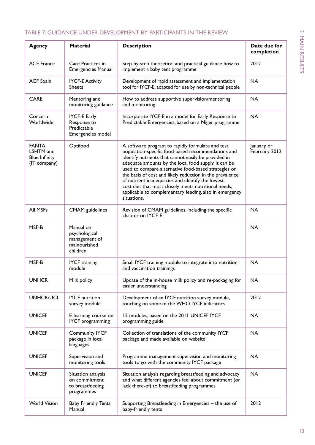#### Table 7: Guidance under development by participants in the review

| <b>Agency</b>                                               | <b>Material</b>                                                         | <b>Description</b>                                                                                                                                                                                                                                                                                                                                                                                                                                                                                                               | Date due for<br>completion  |
|-------------------------------------------------------------|-------------------------------------------------------------------------|----------------------------------------------------------------------------------------------------------------------------------------------------------------------------------------------------------------------------------------------------------------------------------------------------------------------------------------------------------------------------------------------------------------------------------------------------------------------------------------------------------------------------------|-----------------------------|
| ACF-France                                                  | Care Practices in<br><b>Emergencies Manual</b>                          | Step-by-step theoretical and practical guidance how to<br>implement a baby tent programme                                                                                                                                                                                                                                                                                                                                                                                                                                        | 2012                        |
| <b>ACF Spain</b>                                            | <b>IYCF-E Activity</b><br><b>Sheets</b>                                 | Development of rapid assessment and implementation<br>tool for IYCF-E, adapted for use by non-technical people                                                                                                                                                                                                                                                                                                                                                                                                                   | <b>NA</b>                   |
| <b>CARE</b>                                                 | Mentoring and<br>monitoring guidance                                    | How to address supportive supervision/mentoring<br>and monitoring                                                                                                                                                                                                                                                                                                                                                                                                                                                                | <b>NA</b>                   |
| Concern<br>Worldwide                                        | <b>IYCF-E Early</b><br>Response to<br>Predictable<br>Emergencies model  | Incorporate IYCF-E in a model for Early Response to<br>Predictable Emergencies, based on a Niger programme                                                                                                                                                                                                                                                                                                                                                                                                                       | <b>NA</b>                   |
| FANTA,<br>LSHTM and<br><b>Blue Infinity</b><br>(IT company) | Optifood                                                                | A software program to rapidly formulate and test<br>population-specific food-based recommendations and<br>identify nutrients that cannot easily be provided in<br>adequate amounts by the local food supply. It can be<br>used to compare alternative food-based strategies on<br>the basis of cost and likely reduction in the prevalence<br>of nutrient inadequacies and identify the lowest-<br>cost diet that most closely meets nutritional needs,<br>applicable to complementary feeding, also in emergency<br>situations. | January or<br>February 2012 |
| All MSFs                                                    | <b>CMAM</b> guidelines                                                  | Revision of CMAM guidelines, including the specific<br>chapter on IYCF-E                                                                                                                                                                                                                                                                                                                                                                                                                                                         | <b>NA</b>                   |
| MSF-B                                                       | Manual on<br>psychological<br>management of<br>malnourished<br>children |                                                                                                                                                                                                                                                                                                                                                                                                                                                                                                                                  | <b>NA</b>                   |
| MSF-B                                                       | <b>IYCF</b> training<br>module                                          | Small IYCF training module to integrate into nutrition<br>and vaccination trainings                                                                                                                                                                                                                                                                                                                                                                                                                                              | <b>NA</b>                   |
| <b>UNHCR</b>                                                | Milk policy                                                             | Update of the in-house milk policy and re-packaging for<br>easier understanding                                                                                                                                                                                                                                                                                                                                                                                                                                                  | NA                          |
| <b>UNHCR/UCL</b>                                            | <b>IYCF</b> nutrition<br>survey module                                  | Development of an IYCF nutrition survey module,<br>touching on some of the WHO IYCF indicators                                                                                                                                                                                                                                                                                                                                                                                                                                   | 2012                        |
| <b>UNICEF</b>                                               | E-learning course on<br>IYCF programming                                | 12 modules, based on the 2011 UNICEF IYCF<br>programming guide                                                                                                                                                                                                                                                                                                                                                                                                                                                                   | <b>NA</b>                   |
| <b>UNICEF</b>                                               | <b>Community IYCF</b><br>package in local<br>languages                  | Collection of translations of the community IYCF<br>package and made available on website                                                                                                                                                                                                                                                                                                                                                                                                                                        | <b>NA</b>                   |
| <b>UNICEF</b>                                               | Supervision and<br>monitoring tools                                     | Programme management supervision and monitoring<br>tools to go with the community IYCF package                                                                                                                                                                                                                                                                                                                                                                                                                                   | <b>NA</b>                   |
| <b>UNICEF</b>                                               | Situation analysis<br>on commitment<br>to breastfeeding<br>programmes   | Situation analysis regarding breastfeeding and advocacy<br>and what different agencies feel about commitment (or<br>lack there-of) to breastfeeding programmes                                                                                                                                                                                                                                                                                                                                                                   | <b>NA</b>                   |
| <b>World Vision</b>                                         | <b>Baby Friendly Tents</b><br>Manual                                    | Supporting Breastfeeding in Emergencies - the use of<br>baby-friendly tents                                                                                                                                                                                                                                                                                                                                                                                                                                                      | 2012                        |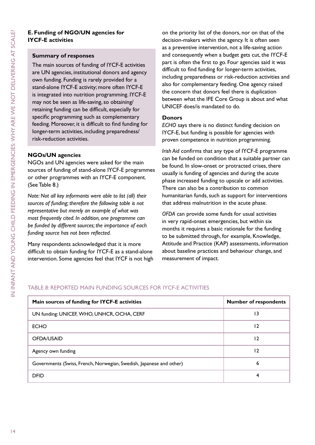#### **Summary of responses**

The main sources of funding of IYCF-E activities are UN agencies, institutional donors and agency own funding. Funding is rarely provided for a stand-alone IYCF-E activity; more often IYCF-E is integrated into nutrition programming. IYCF-E may not be seen as life-saving, so obtaining/ retaining funding can be difficult, especially for specific programming such as complementary feeding. Moreover, it is difficult to find funding for longer-term activities, including preparedness/ risk-reduction activities.

#### **NGOs/UN agencies**

NGOs and UN agencies were asked for the main sources of funding of stand-alone IYCF-E programmes or other programmes with an IYCF-E component. (See Table 8.)

*Note: Not all key informants were able to list (all) their sources of funding; therefore the following table is not representative but merely an example of what was most frequently cited. In addition, one programme can be funded by different sources; the importance of each funding source has not been reflected.*

Many respondents acknowledged that it is more difficult to obtain funding for IYCF-E as a stand-alone intervention. Some agencies feel that IYCF is not high

on the priority list of the donors, nor on that of the decision-makers within the agency. It is often seen as a preventive intervention, not a life-saving action and consequently when a budget gets cut, the IYCF-E part is often the first to go. Four agencies said it was difficult to find funding for longer-term activities, including preparedness or risk-reduction activities and also for complementary feeding. One agency raised the concern that donors feel there is duplication between what the IFE Core Group is about and what UNICEF does/is mandated to do.

#### **Donors**

*ECHO* says there is no distinct funding decision on IYCF-E, but funding is possible for agencies with proven competence in nutrition programming.

*Irish Aid* confirms that any type of IYCF-E programme can be funded on condition that a suitable partner can be found. In slow-onset or protracted crises, there usually is funding of agencies and during the acute phase increased funding to upscale or add activities. There can also be a contribution to common humanitarian funds, such as support for interventions that address malnutrition in the acute phase.

*OFDA* can provide some funds for usual activities in very rapid-onset emergencies, but within six months it requires a basic rationale for the funding to be submitted through, for example, Knowledge, Attitude and Practice (KAP) assessments, information about baseline practices and behaviour change, and measurement of impact.

#### Table 8: Reported main funding sources for IYCF-E activities

| Main sources of funding for IYCF-E activities                       | <b>Number of respondents</b> |
|---------------------------------------------------------------------|------------------------------|
| UN funding: UNICEF, WHO, UNHCR, OCHA, CERF                          | 13                           |
| <b>ECHO</b>                                                         | 12                           |
| OFDA/USAID                                                          | 12                           |
| Agency own funding                                                  | 12                           |
| Governments (Swiss, French, Norwegian, Swedish, Japanese and other) | 6                            |
| <b>DFID</b>                                                         | 4                            |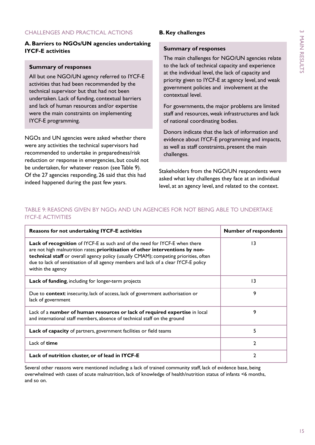#### Challenges and Practical Actions

#### **A. Barriers to NGOs/UN agencies undertaking IYCF-E activities**

#### **Summary of responses**

All but one NGO/UN agency referred to IYCF-E activities that had been recommended by the technical supervisor but that had not been undertaken. Lack of funding, contextual barriers and lack of human resources and/or expertise were the main constraints on implementing IYCF-E programming.

NGOs and UN agencies were asked whether there were any activities the technical supervisors had recommended to undertake in preparedness/risk reduction or response in emergencies, but could not be undertaken, for whatever reason (see Table 9). Of the 27 agencies responding, 26 said that this had indeed happened during the past few years.

#### **B. Key challenges**

#### **Summary of responses**

The main challenges for NGO/UN agencies relate to the lack of technical capacity and experience at the individual level, the lack of capacity and priority given to IYCF-E at agency level, and weak government policies and involvement at the contextual level.

For governments, the major problems are limited staff and resources, weak infrastructures and lack of national coordinating bodies.

Donors indicate that the lack of information and evidence about IYCF-E programming and impacts, as well as staff constraints, present the main challenges.

Stakeholders from the NGO/UN respondents were asked what key challenges they face at an individual level, at an agency level, and related to the context.

#### Table 9: Reasons given by ngos and un agencies for not being able to undertake **IYCF-E ACTIVITIES**

| <b>Reasons for not undertaking IYCF-E activities</b>                                                                                                                                                                                                                                                                                                               | <b>Number of respondents</b> |
|--------------------------------------------------------------------------------------------------------------------------------------------------------------------------------------------------------------------------------------------------------------------------------------------------------------------------------------------------------------------|------------------------------|
| Lack of recognition of IYCF-E as such and of the need for IYCF-E when there<br>are not high malnutrition rates; prioritisation of other interventions by non-<br>technical staff or overall agency policy (usually CMAM); competing priorities, often<br>due to lack of sensitisation of all agency members and lack of a clear IYCF-E policy<br>within the agency | 13                           |
| Lack of funding, including for longer-term projects                                                                                                                                                                                                                                                                                                                | 13                           |
| Due to context: insecurity, lack of access, lack of government authorisation or<br>lack of government                                                                                                                                                                                                                                                              | 9                            |
| Lack of a number of human resources or lack of required expertise in local<br>and international staff members, absence of technical staff on the ground                                                                                                                                                                                                            | 9                            |
| <b>Lack of capacity</b> of partners, government facilities or field teams                                                                                                                                                                                                                                                                                          | 5                            |
| Lack of time                                                                                                                                                                                                                                                                                                                                                       | C                            |
| Lack of nutrition cluster, or of lead in IYCF-E                                                                                                                                                                                                                                                                                                                    | 2                            |

Several other reasons were mentioned including: a lack of trained community staff, lack of evidence base, being overwhelmed with cases of acute malnutrition, lack of knowledge of health/nutrition status of infants <6 months, and so on.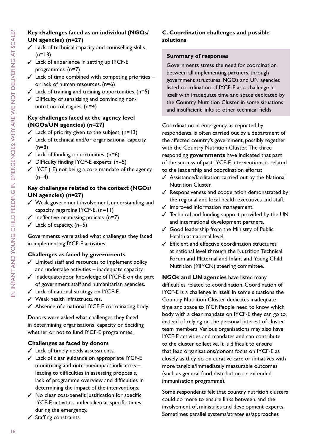#### **Key challenges faced as an individual (NGOs/ UN agencies) (n=27)**

- $\checkmark$  Lack of technical capacity and counselling skills.  $(n=13)$
- $\checkmark$  Lack of experience in setting up IYCF-E programmes. (n=7)
- $\checkmark$  Lack of time combined with competing priorities or lack of human resources. (n=6)
- $\checkmark$  Lack of training and training opportunities. (n=5)
- $\checkmark$  Difficulty of sensitising and convincing nonnutrition colleagues. (n=4)

#### **Key challenges faced at the agency level (NGOs/UN agencies) (n=27)**

- $\checkmark$  Lack of priority given to the subject. (n=13)
- $\checkmark$  Lack of technical and/or organisational capacity.  $(n=8)$
- $\checkmark$  Lack of funding opportunities. (n=6)
- $\checkmark$  Difficulty finding IYCF-E experts. (n=5)
- $\checkmark$  IYCF (-E) not being a core mandate of the agency.  $(n=4)$

#### **Key challenges related to the context (NGOs/ UN agencies) (n=27)**

- $\checkmark$  Weak government involvement, understanding and capacity regarding IYCF-E. (n=11)
- $\checkmark$  Ineffective or missing policies. (n=7)
- $\checkmark$  Lack of capacity. (n=5)

Governments were asked what challenges they faced in implementing IYCF-E activities.

#### **Challenges as faced by governments**

- $\checkmark$  Limited staff and resources to implement policy and undertake activities – inadequate capacity.
- $\checkmark$  Inadequate/poor knowledge of IYCF-E on the part of government staff and humanitarian agencies.
- $\checkmark$  Lack of national strategy on IYCF-E.
- $\checkmark$  Weak health infrastructures.
- $\checkmark$  Absence of a national IYCF-E coordinating body.

Donors were asked what challenges they faced in determining organisations' capacity or deciding whether or not to fund IYCF-E programmes.

#### **Challenges as faced by donors**

- $\checkmark$  Lack of timely needs assessments.
- $\checkmark$  Lack of clear guidance on appropriate IYCF-E monitoring and outcome/impact indicators – leading to difficulties in assessing proposals, lack of programme overview and difficulties in determining the impact of the interventions.
- $\checkmark$  No clear cost-benefit justification for specific IYCF-E activities undertaken at specific times during the emergency.
- $\checkmark$  Staffing constraints.

#### **C. Coordination challenges and possible solutions**

#### **Summary of responses**

Governments stress the need for coordination between all implementing partners, through government structures. NGOs and UN agencies listed coordination of IYCF-E as a challenge in itself with inadequate time and space dedicated by the Country Nutrition Cluster in some situations and insufficient links to other technical fields.

Coordination in emergency, as reported by respondents, is often carried out by a department of the affected country's government, possibly together with the Country Nutrition Cluster. The three responding **governments** have indicated that part of the success of past IYCF-E interventions is related to the leadership and coordination efforts:

- $\checkmark$  Assistance/facilitation carried out by the National Nutrition Cluster.
- $\checkmark$  Responsiveness and cooperation demonstrated by the regional and local health executives and staff.
- $\checkmark$  Improved information management.
- $\checkmark$  Technical and funding support provided by the UN and international development partners.
- $\checkmark$  Good leadership from the Ministry of Public Health at national level.
- $\checkmark$  Efficient and effective coordination structures at national level through the Nutrition Technical Forum and Maternal and Infant and Young Child Nutrition (MIYCN) steering committee.

**NGOs and UN agencies** have listed many difficulties related to coordination. Coordination of IYCF-E is a challenge in itself. In some situations the Country Nutrition Cluster dedicates inadequate time and space to IYCF. People need to know which body with a clear mandate on IYCF-E they can go to, instead of relying on the personal interest of cluster team members. Various organisations may also have IYCF-E activities and mandates and can contribute to the cluster collective. It is difficult to ensure that lead organisations/donors focus on IYCF-E as closely as they do on curative care or initiatives with more tangible/immediately measurable outcomes (such as general food distribution or extended immunisation programme).

Some respondents felt that country nutrition clusters could do more to ensure links between, and the involvement of, ministries and development experts. Sometimes parallel systems/strategies/approaches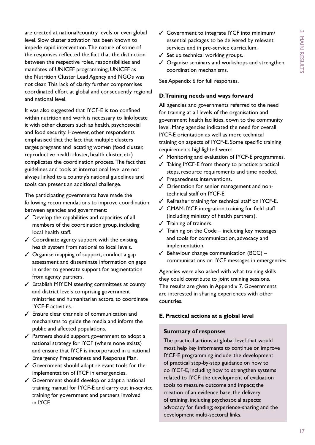are created at national/country levels or even global level. Slow cluster activation has been known to impede rapid intervention. The nature of some of the responses reflected the fact that the distinction between the respective roles, responsibilities and mandates of UNICEF programming, UNICEF as the Nutrition Cluster Lead Agency and NGOs was not clear. This lack of clarity further compromises coordinated effort at global and consequently regional and national level.

It was also suggested that IYCF-E is too confined within nutrition and work is necessary to link/locate it with other clusters such as health, psychosocial and food security. However, other respondents emphasised that the fact that multiple clusters target pregnant and lactating women (food cluster, reproductive health cluster, health cluster, etc) complicates the coordination process. The fact that guidelines and tools at international level are not always linked to a country's national guidelines and tools can present an additional challenge.

The participating governments have made the following recommendations to improve coordination between agencies and government:

- $\checkmark$  Develop the capabilities and capacities of all members of the coordination group, including local health staff.
- $\checkmark$  Coordinate agency support with the existing health system from national to local levels.
- $\checkmark$  Organise mapping of support, conduct a gap assessment and disseminate information on gaps in order to generate support for augmentation from agency partners.
- $\checkmark$  Establish MIYCN steering committees at county and district levels comprising government ministries and humanitarian actors, to coordinate IYCF-E activities.
- $\checkmark$  Ensure clear channels of communication and mechanisms to guide the media and inform the public and affected populations.
- $\checkmark$  Partners should support government to adopt a national strategy for IYCF (where none exists) and ensure that IYCF is incorporated in a national Emergency Preparedness and Response Plan.
- $\checkmark$  Government should adapt relevant tools for the implementation of IYCF in emergencies.
- $\checkmark$  Government should develop or adapt a national training manual for IYCF-E and carry out in-service training for government and partners involved in IYCF.
- $\checkmark$  Government to integrate IYCF into minimum/ essential packages to be delivered by relevant services and in pre-service curriculum.
- $\checkmark$  Set up technical working groups.
- $\checkmark$  Organise seminars and workshops and strengthen coordination mechanisms.

See Appendix 6 for full responses.

#### **D. Training needs and ways forward**

All agencies and governments referred to the need for training at all levels of the organisation and government health facilities, down to the community level. Many agencies indicated the need for overall IYCF-E orientation as well as more technical training on aspects of IYCF-E. Some specific training requirements highlighted were:

- $\checkmark$  Monitoring and evaluation of IYCF-E programmes.
- $\checkmark$  Taking IYCF-E from theory to practice: practical steps, resource requirements and time needed.
- $\checkmark$  Preparedness interventions.
- $\checkmark$  Orientation for senior management and nontechnical staff on IYCF-E.
- $\checkmark$  Refresher training for technical staff on IYCF-E.
- $\checkmark$  CMAM-IYCF integration training for field staff (including ministry of health partners).
- $\checkmark$  Training of trainers.
- $\checkmark$  Training on the Code including key messages and tools for communication, advocacy and implementation.
- $\checkmark$  Behaviour change communication (BCC) communications on IYCF messages in emergencies.

Agencies were also asked with what training skills they could contribute to joint training sessions. The results are given in Appendix 7. Governments are interested in sharing experiences with other countries.

#### **E. Practical actions at a global level**

#### **Summary of responses**

The practical actions at global level that would most help key informants to continue or improve IYCF-E programming include: the development of practical step-by-step guidance on how to do IYCF-E, including how to strengthen systems related to IYCF; the development of evaluation tools to measure outcome and impact; the creation of an evidence base; the delivery of training, including psychosocial aspects; advocacy for funding; experience-sharing and the development multi-sectoral links.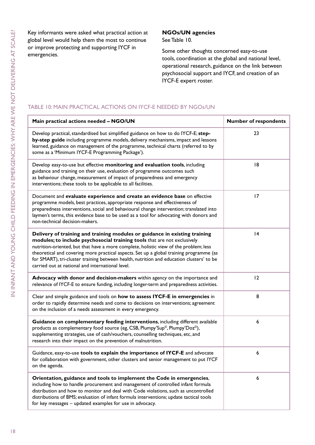Key informants were asked what practical action at global level would help them the most to continue or improve protecting and supporting IYCF in emergencies.

#### **NGOs/UN agencies**

See Table 10.

Some other thoughts concerned easy-to-use tools, coordination at the global and national level, operational research, guidance on the link between psychosocial support and IYCF, and creation of an IYCF-E expert roster.

#### Table 10: Main practical actions on IYCF-E needed by NGOs/UN

| Main practical actions needed - NGO/UN                                                                                                                                                                                                                                                                                                                                                                                                                                                     | <b>Number of respondents</b> |
|--------------------------------------------------------------------------------------------------------------------------------------------------------------------------------------------------------------------------------------------------------------------------------------------------------------------------------------------------------------------------------------------------------------------------------------------------------------------------------------------|------------------------------|
| Develop practical, standardised but simplified guidance on how to do IYCF-E; step-<br>by-step guide including programme models, delivery mechanisms, impact and lessons<br>learned, guidance on management of the programme, technical charts (referred to by<br>some as a 'Minimum IYCF-E Programming Package').                                                                                                                                                                          | 23                           |
| Develop easy-to-use but effective monitoring and evaluation tools, including<br>guidance and training on their use, evaluation of programme outcomes such<br>as behaviour change, measurement of impact of preparedness and emergency<br>interventions; these tools to be applicable to all facilities.                                                                                                                                                                                    | 8                            |
| Document and evaluate experience and create an evidence base on effective<br>programme models, best practices, appropriate response and effectiveness of<br>preparedness interventions, social and behavioural change intervention; translated into<br>laymen's terms, this evidence base to be used as a tool for advocating with donors and<br>non-technical decision-makers.                                                                                                            | 17                           |
| Delivery of training and training modules or guidance in existing training<br>modules; to include psychosocial training tools that are not exclusively<br>nutrition-oriented, but that have a more complete, holistic view of the problem; less<br>theoretical and covering more practical aspects. Set up a global training programme (as<br>for SMART), tri-cluster training between health, nutrition and education clusters' to be<br>carried out at national and international level. | 4                            |
| Advocacy with donor and decision-makers within agency on the importance and<br>relevance of IYCF-E to ensure funding, including longer-term and preparedness activities.                                                                                                                                                                                                                                                                                                                   | 12                           |
| Clear and simple guidance and tools on how to assess IYCF-E in emergencies in<br>order to rapidly determine needs and come to decisions on interventions; agreement<br>on the inclusion of a needs assessment in every emergency.                                                                                                                                                                                                                                                          | 8                            |
| Guidance on complementary feeding interventions, including different available<br>products as complementary food source (eg, CSB, Plumpy'Sup <sup>®</sup> , Plumpy'Doz®),<br>supplementing strategies, use of cash/vouchers, counselling techniques, etc, and<br>research into their impact on the prevention of malnutrition.                                                                                                                                                             | 6                            |
| Guidance, easy-to-use tools to explain the importance of IYCF-E and advocate<br>for collaboration with government, other clusters and senior management to put IYCF<br>on the agenda.                                                                                                                                                                                                                                                                                                      | 6                            |
| Orientation, guidance and tools to implement the Code in emergencies,<br>including how to handle procurement and management of controlled infant formula<br>distribution and how to monitor and deal with Code violations, such as uncontrolled<br>distributions of BMS; evaluation of infant formula interventions; update tactical tools<br>for key messages - updated examples for use in advocacy.                                                                                     | 6                            |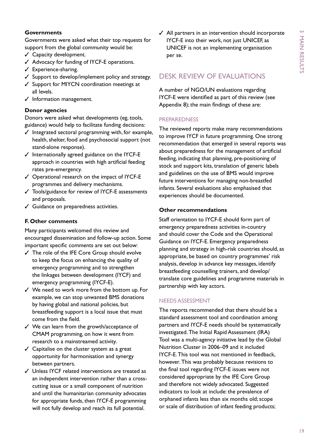#### **Governments**

Governments were asked what their top requests for support from the global community would be:

- $<$  Capacity development.
- $\checkmark$  Advocacy for funding of IYCF-E operations.
- $\checkmark$  Experience-sharing.
- $\checkmark$  Support to develop/implement policy and strategy.
- $\checkmark$  Support for MIYCN coordination meetings at all levels.
- $J$  Information management.

#### **Donor agencies**

Donors were asked what developments (eg, tools, guidance) would help to facilitate funding decisions:

- $\checkmark$  Integrated sectoral programming with, for example, health, shelter, food and psychosocial support (not stand-alone response).
- $J$  Internationally agreed guidance on the IYCF-E approach in countries with high artificial feeding rates pre-emergency.
- $\checkmark$  Operational research on the impact of IYCF-E programmes and delivery mechanisms.
- $\checkmark$  Tools/guidance for review of IYCF-E assessments and proposals.
- $\checkmark$  Guidance on preparedness activities.

#### **F. Other comments**

Many participants welcomed this review and encouraged dissemination and follow-up action. Some important specific comments are set out below:

- $\checkmark$  The role of the IFE Core Group should evolve to keep the focus on enhancing the quality of emergency programming and to strengthen the linkages between development (IYCF) and emergency programming (IYCF-E).
- $\checkmark$  We need to work more from the bottom up. For example, we can stop unwanted BMS donations by having global and national policies, but breastfeeding support is a local issue that must come from the field.
- $\checkmark$  We can learn from the growth/acceptance of CMAM programming, on how it went from research to a mainstreamed activity.
- $\checkmark$  Capitalise on the cluster system as a great opportunity for harmonisation and synergy between partners.
- $\checkmark$  Unless IYCF related interventions are treated as an independent intervention rather than a crosscutting issue or a small component of nutrition and until the humanitarian community advocates for appropriate funds, then IYCF-E programming will not fully develop and reach its full potential.

 $\angle$  All partners in an intervention should incorporate IYCF-E into their work, not just UNICEF, as UNICEF is not an implementing organisation per se.

## Desk review of evaluations

A number of NGO/UN evaluations regarding IYCF-E were identified as part of this review (see Appendix 8); the main findings of these are:

#### **PREPAREDNESS**

The reviewed reports make many recommendations to improve IYCF in future programming. One strong recommendation that emerged in several reports was about preparedness for the management of artificial feeding, indicating that planning, pre-positioning of stock and support kits, translation of generic labels and guidelines on the use of BMS would improve future interventions for managing non-breastfed infants. Several evaluations also emphasised that experiences should be documented.

#### **Other recommendations**

Staff orientation to IYCF-E should form part of emergency preparedness activities in-country and should cover the Code and the Operational Guidance on IYCF-E. Emergency preparedness planning and strategy in high-risk countries should, as appropriate, be based on country programmes' risk analysis, develop in advance key messages, identify breastfeeding counselling trainers, and develop/ translate core guidelines and programme materials in partnership with key actors.

#### Needs assessment

The reports recommended that there should be a standard assessment tool and coordination among partners and IYCF-E needs should be systematically investigated. The Initial Rapid Assessment (IRA) Tool was a multi-agency initiative lead by the Global Nutrition Cluster in 2006–09 and it included IYCF-E. This tool was not mentioned in feedback, however. This was probably because revisions to the final tool regarding IYCF-E issues were not considered appropriate by the IFE Core Group and therefore not widely advocated. Suggested indicators to look at include: the prevalence of orphaned infants less than six months old; scope or scale of distribution of infant feeding products;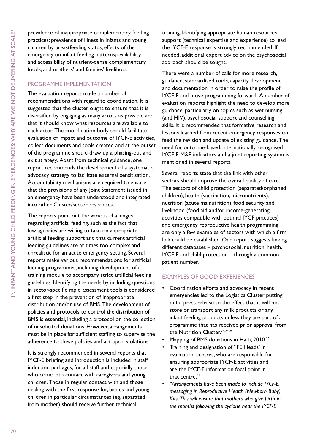prevalence of inappropriate complementary feeding practices; prevalence of illness in infants and young children by breastfeeding status; effects of the emergency on infant feeding patterns; availability and accessibility of nutrient-dense complementary foods; and mothers' and families' livelihood.

#### Programme implementation

The evaluation reports made a number of recommendations with regard to coordination. It is suggested that the cluster ought to ensure that it is diversified by engaging as many actors as possible and that it should know what resources are available to each actor. The coordination body should facilitate evaluation of impact and outcome of IYCF-E activities, collect documents and tools created and at the outset of the programme should draw up a phasing-out and exit strategy. Apart from technical guidance, one report recommends the development of a systematic advocacy strategy to facilitate external sensitisation. Accountability mechanisms are required to ensure that the provisions of any Joint Statement issued in an emergency have been understood and integrated into other Cluster/sector responses.

The reports point out the various challenges regarding artificial feeding, such as the fact that few agencies are willing to take on appropriate artificial feeding support and that current artificial feeding guidelines are at times too complex and unrealistic for an acute emergency setting. Several reports make various recommendations for artificial feeding programmes, including development of a training module to accompany strict artificial feeding guidelines. Identifying the needs by including questions in sector-specific rapid assessment tools is considered a first step in the prevention of inappropriate distribution and/or use of BMS. The development of policies and protocols to control the distribution of BMS is essential, including a protocol on the collection of unsolicited donations. However, arrangements must be in place for sufficient staffing to supervise the adherence to these policies and act upon violations.

It is strongly recommended in several reports that IYCF-E briefing and introduction is included in staff induction packages, for all staff and especially those who come into contact with caregivers and young children. Those in regular contact with and those dealing with the first response for, babies and young children in particular circumstances (eg, separated from mother) should receive further technical

training. Identifying appropriate human resources support (technical expertise and experience) to lead the IYCF-E response is strongly recommended. If needed, additional expert advice on the psychosocial approach should be sought.

There were a number of calls for more research, guidance, standardised tools, capacity development and documentation in order to raise the profile of IYCF-E and move programming forward. A number of evaluation reports highlight the need to develop more guidance, particularly on topics such as wet nursing (and HIV), psychosocial support and counselling skills. It is recommended that formative research and lessons learned from recent emergency responses can feed the revision and update of existing guidance. The need for outcome-based, internationally recognised IYCF-E M&E indicators and a joint reporting system is mentioned in several reports.

Several reports state that the link with other sectors should improve the overall quality of care. The sectors of child protection (separated/orphaned children), health (vaccination, micronutrients), nutrition (acute malnutrition), food security and livelihood (food aid and/or income-generating activities compatible with optimal IYCF practices) and emergency reproductive health programming are only a few examples of sectors with which a firm link could be established. One report suggests linking different databases – psychosocial, nutrition, health, IYCF-E and child protection – through a common patient number.

#### Examples of good experiences

- Coordination efforts and advocacy in recent emergencies led to the Logistics Cluster putting out a press release to the effect that it will not store or transport any milk products or any infant feeding products unless they are part of a programme that has received prior approval from the Nutrition Cluster.<sup>23,24,25</sup>
- Mapping of BMS donations in Haiti, 2010.<sup>26</sup>
- Training and designation of 'IFE Heads' in evacuation centres, who are responsible for ensuring appropriate IYCF-E activities and are the IYCF-E information focal point in that centre.<sup>27</sup>
- • *"Arrangements have been made to include IYCF-E messaging in Reproductive Health (Newborn Baby) Kits. This will ensure that mothers who give birth in the months following the cyclone hear the IYCF-E*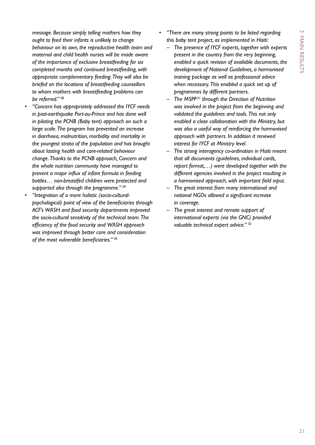*message. Because simply telling mothers how they ought to feed their infants is unlikely to change behaviour on its own, the reproductive health team and maternal and child health nurses will be made aware of the importance of exclusive breastfeeding for six completed months and continued breastfeeding, with appropriate complementary feeding. They will also be briefed on the locations of breastfeeding counsellors to whom mothers with breastfeeding problems can be referred."* <sup>28</sup>

- • *"Concern has appropriately addressed the IYCF needs in post-earthquake Port-au-Prince and has done well in piloting the PCNB (Baby tent) approach on such a large scale. The program has prevented an increase in diarrhoea, malnutrition, morbidity and mortality in the youngest strata of the population and has brought about lasting health and care-related behaviour change. Thanks to the PCNB approach, Concern and the whole nutrition community have managed to prevent a major influx of infant formula in feeding bottles… non-breastfed children were protected and supported also through the programme."* <sup>29</sup>
- "Integration of a more holistic (socio-cultural*psychological) point of view of the beneficiaries through ACF's WASH and food security departments improved the socio-cultural sensitivity of the technical team. The efficiency of the food security and WASH approach was improved through better care and consideration of the most vulnerable beneficiaries."* <sup>30</sup>
- • *"There are many strong points to be listed regarding this baby tent project, as implemented in Haiti:*
	- *– The presence of IYCF experts, together with experts present in the country from the very beginning, enabled a quick revision of available documents, the development of National Guidelines, a harmonised training package as well as professional advice when necessary. This enabled a quick set up of programmes by different partners.*
	- *– The MSPP* <sup>31</sup> *through the Direction of Nutrition was involved in the project from the beginning and validated the guidelines and tools. This not only enabled a close collaboration with the Ministry, but was also a useful way of reinforcing the harmonised approach with partners. In addition it renewed interest for IYCF at Ministry level.*
	- *– The strong interagency co-ordination in Haiti meant that all documents (guidelines, individual cards, report format,…) were developed together with the different agencies involved in the project resulting in a harmonised approach, with important field input.*
	- *– The great interest from many international and national NGOs allowed a significant increase in coverage.*
	- *– The great interest and remote support of international experts (via the GNC) provided valuable technical expert advice."* <sup>32</sup>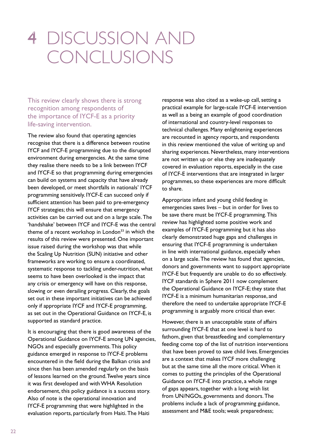## 4 Discussion and conclusions

This review clearly shows there is strong recognition among respondents of the importance of IYCF-E as a priority life-saving intervention.

The review also found that operating agencies recognise that there is a difference between routine IYCF and IYCF-E programming due to the disrupted environment during emergencies. At the same time they realise there needs to be a link between IYCF and IYCF-E so that programming during emergencies can build on systems and capacity that have already been developed, or meet shortfalls in nationals' IYCF programming sensitively. IYCF-E can succeed only if sufficient attention has been paid to pre-emergency IYCF strategies; this will ensure that emergency activities can be carried out and on a large scale. The 'handshake' between IYCF and IYCF-E was the central theme of a recent workshop in London<sup>33</sup> in which the results of this review were presented. One important issue raised during the workshop was that while the Scaling Up Nutrition (SUN) initiative and other frameworks are working to ensure a coordinated, systematic response to tackling under-nutrition, what seems to have been overlooked is the impact that any crisis or emergency will have on this response, slowing or even derailing progress. Clearly, the goals set out in these important initiatives can be achieved only if appropriate IYCF and IYCF-E programming, as set out in the Operational Guidance on IYCF-E, is supported as standard practice.

It is encouraging that there is good awareness of the Operational Guidance on IYCF-E among UN agencies, NGOs and especially governments. This policy guidance emerged in response to IYCF-E problems encountered in the field during the Balkan crisis and since then has been amended regularly on the basis of lessons learned on the ground. Twelve years since it was first developed and with WHA Resolution endorsement, this policy guidance is a success story. Also of note is the operational innovation and IYCF-E programming that were highlighted in the evaluation reports, particularly from Haiti. The Haiti

response was also cited as a wake-up call, setting a practical example for large-scale IYCF-E intervention as well as a being an example of good coordination of international and country-level responses to technical challenges. Many enlightening experiences are recounted in agency reports, and respondents in this review mentioned the value of writing up and sharing experiences. Nevertheless, many interventions are not written up or else they are inadequately covered in evaluation reports, especially in the case of IYCF-E interventions that are integrated in larger programmes, so these experiences are more difficult to share.

Appropriate infant and young child feeding in emergencies saves lives – but in order for lives to be save there must be IYCF-E programming. This review has highlighted some positive work and examples of IYCF-E programming but it has also clearly demonstrated huge gaps and challenges in ensuring that IYCF-E programming is undertaken in line with international guidance, especially when on a large scale. The review has found that agencies, donors and governments want to support appropriate IYCF-E but frequently are unable to do so effectively. IYCF standards in Sphere 2011 now complement the Operational Guidance on IYCF-E; they state that IYCF-E is a minimum humanitarian response, and therefore the need to undertake appropriate IYCF-E programming is arguably more critical than ever.

However, there is an unacceptable state of affairs surrounding IYCF-E that at one level is hard to fathom, given that breastfeeding and complementary feeding come top of the list of nutrition interventions that have been proved to save child lives. Emergencies are a context that makes IYCF more challenging but at the same time all the more critical. When it comes to putting the principles of the Operational Guidance on IYCF-E into practice, a whole range of gaps appears, together with a long wish list from UN/NGOs, governments and donors. The problems include a lack of programming guidance, assessment and M&E tools; weak preparedness;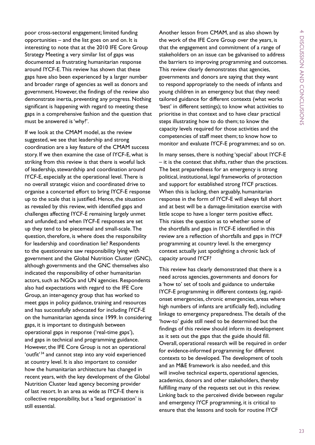poor cross-sectoral engagement; limited funding opportunities – and the list goes on and on. It is interesting to note that at the 2010 IFE Core Group Strategy Meeting a very similar list of gaps was documented as frustrating humanitarian response around IYCF-E. This review has shown that these gaps have also been experienced by a larger number and broader range of agencies as well as donors and government. However, the findings of the review also demonstrate inertia, preventing any progress. Nothing significant is happening with regard to meeting these gaps in a comprehensive fashion and the question that must be answered is 'why?'.

If we look at the CMAM model, as the review suggested, we see that leadership and strong coordination are a key feature of the CMAM success story. If we then examine the case of IYCF-E, what is striking from this review is that there is woeful lack of leadership, stewardship and coordination around IYCF-E, especially at the operational level. There is no overall strategic vision and coordinated drive to organise a concerted effort to bring IYCF-E response up to the scale that is justified. Hence, the situation as revealed by this review, with identified gaps and challenges affecting IYCF-E remaining largely unmet and unfunded; and when IYCF-E responses are set up they tend to be piecemeal and small-scale. The question, therefore, is where does the responsibility for leadership and coordination lie? Respondents to the questionnaire saw responsibility lying with government and the Global Nutrition Cluster (GNC), although governments and the GNC themselves also indicated the responsibility of other humanitarian actors, such as NGOs and UN agencies. Respondents also had expectations with regard to the IFE Core Group, an inter-agency group that has worked to meet gaps in policy guidance, training and resources and has successfully advocated for including IYCF-E on the humanitarian agenda since 1999. In considering gaps, it is important to distinguish between operational gaps in response ('real-time gaps'), and gaps in technical and programming guidance. However, the IFE Core Group is not an operational 'outfit' 34 and cannot step into any void experienced at country level. It is also important to consider how the humanitarian architecture has changed in recent years, with the key development of the Global Nutrition Cluster lead agency becoming provider of last resort. In an area as wide as IYCF-E there is collective responsibility, but a 'lead organisation' is still essential.

Another lesson from CMAM, and as also shown by the work of the IFE Core Group over the years, is that the engagement and commitment of a range of stakeholders on an issue can be galvanised to address the barriers to improving programming and outcomes. This review clearly demonstrates that agencies, governments and donors are saying that they want to respond appropriately to the needs of infants and young children in an emergency but that they need: tailored guidance for different contexts (what works 'best' in different settings); to know what activities to prioritise in that context and to have clear practical steps illustrating how to do them; to know the capacity levels required for those activities and the competencies of staff meet them; to know how to monitor and evaluate IYCF-E programmes; and so on.

In many senses, there is nothing 'special' about IYCF-E – it is the context that shifts, rather than the practices. The best preparedness for an emergency is strong political, institutional, legal frameworks of protection and support for established strong IYCF practices. When this is lacking, then arguably, humanitarian response in the form of IYCF-E will always fall short and at best will be a damage-limitation exercise with little scope to have a longer term positive effect. This raises the question as to whether some of the shortfalls and gaps in IYCF-E identified in this review are a reflection of shortfalls and gaps in IYCF programming at country level. Is the emergency context actually just spotlighting a chronic lack of capacity around IYCF?

This review has clearly demonstrated that there is a need across agencies, governments and donors for a 'how to' set of tools and guidance to undertake IYCF-E programming in different contexts (eg, rapidonset emergencies, chronic emergencies, areas where high numbers of infants are artificially fed), including linkage to emergency preparedness. The details of the 'how-to' guide still need to be determined but the findings of this review should inform its development as it sets out the gaps that the guide should fill. Overall, operational research will be required in order for evidence-informed programming for different contexts to be developed. The development of tools and an M&E framework is also needed, and this will involve technical experts, operational agencies, academics, donors and other stakeholders, thereby fulfilling many of the requests set out in this review. Linking back to the perceived divide between regular and emergency IYCF programming, it is critical to ensure that the lessons and tools for routine IYCF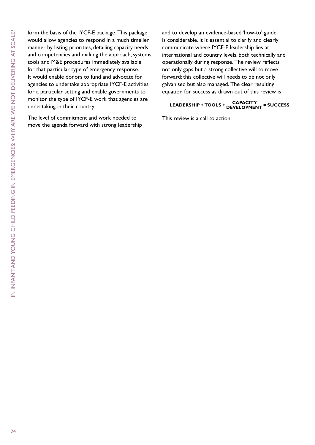N INFANT AND YOUNG CHILD FEEDING IN EMERGENCIES: WHY ARE WE NOT DELIVERING AT SCALE? in Infant and Young Child Feeding in Emergencies: why are we not delivering at scale?

form the basis of the IYCF-E package. This package would allow agencies to respond in a much timelier manner by listing priorities, detailing capacity needs and competencies and making the approach, systems, tools and M&E procedures immediately available for that particular type of emergency response. It would enable donors to fund and advocate for agencies to undertake appropriate IYCF-E activities for a particular setting and enable governments to monitor the type of IYCF-E work that agencies are undertaking in their country.

The level of commitment and work needed to move the agenda forward with strong leadership and to develop an evidence-based 'how-to' guide is considerable. It is essential to clarify and clearly communicate where IYCF-E leadership lies at international and country levels, both technically and operationally during response. The review reflects not only gaps but a strong collective will to move forward; this collective will needs to be not only galvanised but also managed. The clear resulting equation for success as drawn out of this review is

## **LEADERSHIP + TOOLS + CAPACITY DEVELOPMENT = SUCCESS**

This review is a call to action.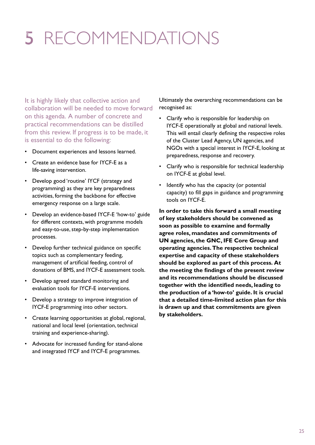# 5 Recommendations

It is highly likely that collective action and collaboration will be needed to move forward on this agenda. A number of concrete and practical recommendations can be distilled from this review. If progress is to be made, it is essential to do the following:

- • Document experiences and lessons learned.
- Create an evidence base for IYCF-E as a life-saving intervention.
- • Develop good 'routine' IYCF (strategy and programming) as they are key preparedness activities, forming the backbone for effective emergency response on a large scale.
- Develop an evidence-based IYCF-E 'how-to' guide for different contexts, with programme models and easy-to-use, step-by-step implementation processes.
- Develop further technical guidance on specific topics such as complementary feeding, management of artificial feeding, control of donations of BMS, and IYCF-E assessment tools.
- Develop agreed standard monitoring and evaluation tools for IYCF-E interventions.
- Develop a strategy to improve integration of IYCF-E programming into other sectors.
- Create learning opportunities at global, regional, national and local level (orientation, technical training and experience-sharing).
- Advocate for increased funding for stand-alone and integrated IYCF and IYCF-E programmes.

Ultimately the overarching recommendations can be recognised as:

- Clarify who is responsible for leadership on IYCF-E operationally at global and national levels. This will entail clearly defining the respective roles of the Cluster Lead Agency, UN agencies, and NGOs with a special interest in IYCF-E, looking at preparedness, response and recovery.
- • Clarify who is responsible for technical leadership on IYCF-E at global level.
- Identify who has the capacity (or potential capacity) to fill gaps in guidance and programming tools on IYCF-E.

**In order to take this forward a small meeting of key stakeholders should be convened as soon as possible to examine and formally agree roles, mandates and commitments of UN agencies, the GNC, IFE Core Group and operating agencies. The respective technical expertise and capacity of these stakeholders should be explored as part of this process. At the meeting the findings of the present review and its recommendations should be discussed together with the identified needs, leading to the production of a 'how-to' guide. It is crucial that a detailed time-limited action plan for this is drawn up and that commitments are given by stakeholders.**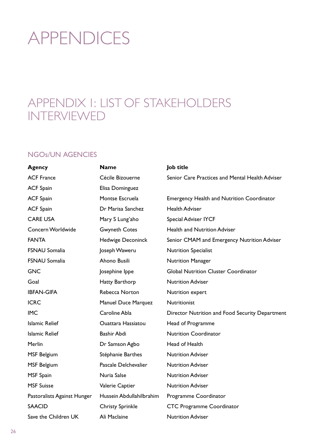# **APPENDICES**

## Appendix 1: List of stakeholders **INTERVIEWED**

## NGOs/UN Agencies

| Agency                      | <b>Name</b>               | Job title                                         |
|-----------------------------|---------------------------|---------------------------------------------------|
| <b>ACF France</b>           | Cécile Bizouerne          | Senior Care Practices and Mental Health Adviser   |
| <b>ACF Spain</b>            | Elisa Dominguez           |                                                   |
| <b>ACF Spain</b>            | Montse Escruela           | <b>Emergency Health and Nutrition Coordinator</b> |
| <b>ACF Spain</b>            | Dr Marisa Sanchez         | <b>Health Adviser</b>                             |
| <b>CARE USA</b>             | Mary S Lung'aho           | Special Adviser IYCF                              |
| Concern Worldwide           | <b>Gwyneth Cotes</b>      | Health and Nutrition Adviser                      |
| <b>FANTA</b>                | Hedwige Deconinck         | Senior CMAM and Emergency Nutrition Adviser       |
| <b>FSNAU Somalia</b>        | Joseph Waweru             | <b>Nutrition Specialist</b>                       |
| <b>FSNAU Somalia</b>        | Ahono Busili              | <b>Nutrition Manager</b>                          |
| <b>GNC</b>                  | Josephine Ippe            | <b>Global Nutrition Cluster Coordinator</b>       |
| Goal                        | Hatty Barthorp            | <b>Nutrition Adviser</b>                          |
| <b>IBFAN-GIFA</b>           | Rebecca Norton            | Nutrition expert                                  |
| <b>ICRC</b>                 | Manuel Duce Marquez       | Nutritionist                                      |
| <b>IMC</b>                  | Caroline Abla             | Director Nutrition and Food Security Department   |
| <b>Islamic Relief</b>       | <b>Ouattara Hassiatou</b> | Head of Programme                                 |
| <b>Islamic Relief</b>       | Bashir Abdi               | <b>Nutrition Coordinator</b>                      |
| Merlin                      | Dr Samson Agbo            | Head of Health                                    |
| <b>MSF Belgium</b>          | Stéphanie Barthes         | <b>Nutrition Adviser</b>                          |
| <b>MSF Belgium</b>          | Pascale Delchevalier      | <b>Nutrition Adviser</b>                          |
| <b>MSF Spain</b>            | Nuria Salse               | <b>Nutrition Adviser</b>                          |
| <b>MSF Suisse</b>           | Valerie Captier           | <b>Nutrition Adviser</b>                          |
| Pastoralists Against Hunger | Hussein Abdullahilbrahim  | Programme Coordinator                             |
| <b>SAACID</b>               | <b>Christy Sprinkle</b>   | <b>CTC Programme Coordinator</b>                  |
| Save the Children UK        | Ali Maclaine              | <b>Nutrition Adviser</b>                          |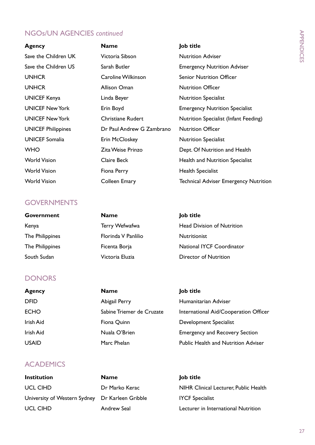## NGOs/UN Agencies *continued*

| <b>Agency</b>             | <b>Name</b>               | Job title                                    |
|---------------------------|---------------------------|----------------------------------------------|
| Save the Children UK      | Victoria Sibson           | <b>Nutrition Adviser</b>                     |
| Save the Children US      | Sarah Butler              | <b>Emergency Nutrition Adviser</b>           |
| <b>UNHCR</b>              | Caroline Wilkinson        | <b>Senior Nutrition Officer</b>              |
| <b>UNHCR</b>              | Allison Oman              | <b>Nutrition Officer</b>                     |
| <b>UNICEF Kenya</b>       | Linda Beyer               | <b>Nutrition Specialist</b>                  |
| <b>UNICEF New York</b>    | Erin Boyd                 | <b>Emergency Nutrition Specialist</b>        |
| <b>UNICEF New York</b>    | <b>Christiane Rudert</b>  | Nutrition Specialist (Infant Feeding)        |
| <b>UNICEF Philippines</b> | Dr Paul Andrew G Zambrano | <b>Nutrition Officer</b>                     |
| <b>UNICEF Somalia</b>     | Erin McCloskey            | <b>Nutrition Specialist</b>                  |
| <b>WHO</b>                | <b>Zita Weise Prinzo</b>  | Dept. Of Nutrition and Health                |
| <b>World Vision</b>       | <b>Claire Beck</b>        | Health and Nutrition Specialist              |
| <b>World Vision</b>       | Fiona Perry               | <b>Health Specialist</b>                     |
| World Vision              | Colleen Emary             | <b>Technical Adviser Emergency Nutrition</b> |

### **GOVERNMENTS**

| <b>Government</b> | <b>Name</b>         | Job title                         |
|-------------------|---------------------|-----------------------------------|
| Kenya             | Terry Wefwafwa      | <b>Head Division of Nutrition</b> |
| The Philippines   | Florinda V Panlilio | <b>Nutritionist</b>               |
| The Philippines   | Ficenta Borja       | <b>National IYCF Coordinator</b>  |
| South Sudan       | Victoria Eluzia     | Director of Nutrition             |

### **DONORS**

| <b>Agency</b> | <b>Name</b>               | Job title                                  |
|---------------|---------------------------|--------------------------------------------|
| <b>DFID</b>   | Abigail Perry             | Humanitarian Adviser                       |
| <b>ECHO</b>   | Sabine Triemer de Cruzate | International Aid/Cooperation Officer      |
| Irish Aid     | Fiona Quinn               | Development Specialist                     |
| Irish Aid     | Nuala O'Brien             | <b>Emergency and Recovery Section</b>      |
| <b>USAID</b>  | Marc Phelan               | <b>Public Health and Nutrition Adviser</b> |

## **ACADEMICS**

**Institution Name Job title** University of Western Sydney Dr Karleen Gribble IYCF Specialist

## UCL CIHD **Dr Marko Kerac** NIHR Clinical Lecturer, Public Health UCL CIHD **Andrew Seal** Lecturer in International Nutrition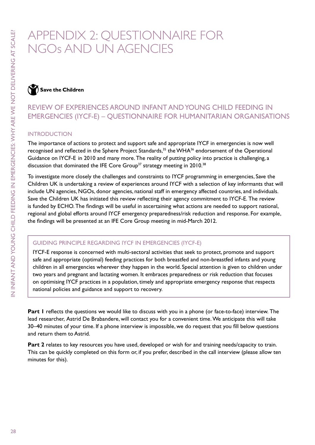## Appendix 2: Questionnaire for NGOs and UN agencies

Save the Children

## Review of experiences around Infant and Young Child Feeding in Emergencies (IYCF-E) – Questionnaire for Humanitarian Organisations

#### **INTRODUCTION**

The importance of actions to protect and support safe and appropriate IYCF in emergencies is now well recognised and reflected in the Sphere Project Standards,<sup>35</sup> the WHA<sup>36</sup> endorsement of the Operational Guidance on IYCF-E in 2010 and many more. The reality of putting policy into practice is challenging, a discussion that dominated the IFE Core Group<sup>37</sup> strategy meeting in 2010.<sup>38</sup>

To investigate more closely the challenges and constraints to IYCF programming in emergencies, Save the Children UK is undertaking a review of experiences around IYCF with a selection of key informants that will include UN agencies, NGOs, donor agencies, national staff in emergency affected countries, and individuals. Save the Children UK has initiated this review reflecting their agency commitment to IYCF-E. The review is funded by ECHO. The findings will be useful in ascertaining what actions are needed to support national, regional and global efforts around IYCF emergency preparedness/risk reduction and response. For example, the findings will be presented at an IFE Core Group meeting in mid-March 2012.

#### Guiding principle regarding IYCF in emergencies (IYCF-E)

IYCF-E response is concerned with multi-sectoral activities that seek to protect, promote and support safe and appropriate (optimal) feeding practices for both breastfed and non-breastfed infants and young children in all emergencies wherever they happen in the world. Special attention is given to children under two years and pregnant and lactating women. It embraces preparedness or risk reduction that focuses on optimising IYCF practices in a population, timely and appropriate emergency response that respects national policies and guidance and support to recovery.

**Part 1** reflects the questions we would like to discuss with you in a phone (or face-to-face) interview. The lead researcher, Astrid De Brabandere, will contact you for a convenient time. We anticipate this will take 30–40 minutes of your time. If a phone interview is impossible, we do request that you fill below questions and return them to Astrid.

Part 2 relates to key resources you have used, developed or wish for and training needs/capacity to train. This can be quickly completed on this form or, if you prefer, described in the call interview (please allow ten minutes for this).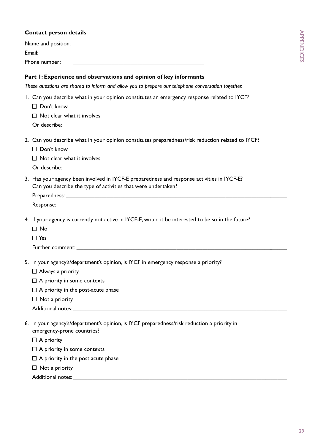#### **Contact person details**

| Name and position: |  |
|--------------------|--|
| Email:             |  |
| Phone number:      |  |

#### **Part 1: Experience and observations and opinion of key informants**

*These questions are shared to inform and allow you to prepare our telephone conversation together.*

- 1. Can you describe what in your opinion constitutes an emergency response related to IYCF?
	- □ Don't know
	- $\Box$  Not clear what it involves
	- Or describe:
- 2. Can you describe what in your opinion constitutes preparedness/risk reduction related to IYCF?
	- $\Box$  Don't know
	- $\Box$  Not clear what it involves
	- Or describe: \_\_\_\_\_\_\_\_\_\_\_\_\_\_\_\_\_\_\_\_\_\_\_\_\_\_\_\_\_\_\_\_\_\_\_\_\_\_\_\_\_\_\_\_\_\_\_\_\_\_\_\_\_\_\_\_\_\_\_\_\_\_\_\_\_\_\_\_\_\_\_\_\_\_\_\_\_\_\_\_\_\_\_\_\_\_\_\_\_\_\_\_\_\_
- 3. Has your agency been involved in IYCF-E preparedness and response activities in IYCF-E? Can you describe the type of activities that were undertaken?

Preparedness:

```
Response:
```
4. If your agency is currently not active in IYCF-E, would it be interested to be so in the future?

- $\Box$  No
- □ Yes

Further comment: \_\_\_\_\_\_\_\_\_\_\_\_\_\_\_\_\_\_\_\_\_\_\_\_\_\_\_\_\_\_\_\_\_\_\_\_\_\_\_\_\_\_\_\_\_\_\_\_\_\_\_\_\_\_\_\_\_\_\_\_\_\_\_\_\_\_\_\_\_\_\_\_\_\_\_\_\_\_\_\_\_\_\_\_\_\_\_\_\_

- 5. In your agency's/department's opinion, is IYCF in emergency response a priority?
	- $\Box$  Always a priority
	- $\Box$  A priority in some contexts
	- $\Box$  A priority in the post-acute phase
	- $\Box$  Not a priority
	- Additional notes:  $\blacksquare$
- 6. In your agency's/department's opinion, is IYCF preparedness/risk reduction a priority in emergency-prone countries?
	- $\Box$  A priority
	- $\Box$  A priority in some contexts
	- $\Box$  A priority in the post acute phase
	- $\Box$  Not a priority

Additional notes: \_\_\_\_\_\_\_\_\_\_\_\_\_\_\_\_\_\_\_\_\_\_\_\_\_\_\_\_\_\_\_\_\_\_\_\_\_\_\_\_\_\_\_\_\_\_\_\_\_\_\_\_\_\_\_\_\_\_\_\_\_\_\_\_\_\_\_\_\_\_\_\_\_\_\_\_\_\_\_\_\_\_\_\_\_\_\_\_\_\_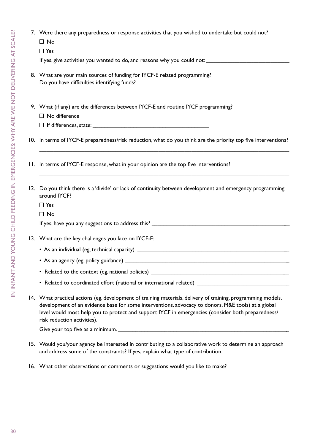7. Were there any preparedness or response activities that you wished to undertake but could not?

 $\Box$  No

□ Yes

If yes, give activities you wanted to do, and reasons why you could not: \_\_\_\_\_\_\_\_\_\_\_\_\_\_\_\_\_\_\_\_\_\_\_\_\_\_\_\_\_\_\_\_\_\_\_

- 8. What are your main sources of funding for IYCF-E related programming? Do you have difficulties identifying funds?
- 9. What (if any) are the differences between IYCF-E and routine IYCF programming?
	- $\Box$  No difference
	- $\Box$  If differences, state:

10. In terms of IYCF-E preparedness/risk reduction, what do you think are the priority top five interventions?

11. In terms of IYCF-E response, what in your opinion are the top five interventions?

| 12. Do you think there is a 'divide' or lack of continuity between development and emergency programming |
|----------------------------------------------------------------------------------------------------------|
| around IYCF?                                                                                             |
| $\Box$ Yes                                                                                               |

□ No

| If yes, have you any suggestions to address this? |  |
|---------------------------------------------------|--|
|                                                   |  |
|                                                   |  |

#### 13. What are the key challenges you face on IYCF-E:

- As an individual (eg, technical capacity) \_\_\_\_\_\_\_\_\_\_\_\_\_\_\_\_\_\_\_\_\_\_\_\_\_\_\_\_\_\_\_\_\_\_\_\_\_\_\_\_\_\_\_\_\_\_\_\_\_\_\_\_\_
- As an agency (eg, policy guidance) \_\_\_\_\_\_\_\_\_\_\_\_\_\_\_\_\_\_\_\_\_\_\_\_\_\_\_\_\_\_\_\_\_\_\_\_\_\_\_\_\_\_\_\_\_\_\_\_\_\_\_\_\_\_\_\_\_\_
- Related to the context (eg, national policies) \_\_\_\_\_\_\_\_\_\_\_\_\_\_\_\_\_\_\_\_\_\_\_\_\_\_\_\_\_\_\_\_\_\_\_\_\_\_\_\_\_\_\_\_\_\_\_\_
- Related to coordinated effort (national or international related) \_\_\_\_\_\_\_\_\_\_\_\_\_\_\_\_\_\_\_\_\_\_\_\_\_\_\_\_\_\_\_\_
- 14. What practical actions (eg, development of training materials, delivery of training, programming models, development of an evidence base for some interventions, advocacy to donors, M&E tools) at a global level would most help you to protect and support IYCF in emergencies (consider both preparedness/ risk reduction activities).

Give your top five as a minimum. \_\_\_\_\_\_\_\_\_\_\_\_\_\_\_\_\_\_\_\_\_\_\_\_\_\_\_\_\_\_\_\_\_\_\_\_\_\_\_\_\_\_\_\_\_\_\_\_\_\_\_\_\_\_\_\_\_\_\_

15. Would you/your agency be interested in contributing to a collaborative work to determine an approach and address some of the constraints? If yes, explain what type of contribution.

 $\mathcal{L}_\text{max}$  , and the contract of the contract of the contract of the contract of the contract of the contract of the contract of the contract of the contract of the contract of the contract of the contract of the contr

16. What other observations or comments or suggestions would you like to make?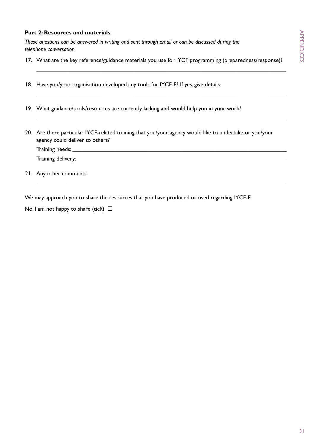#### **Part 2: Resources and materials**

*These questions can be answered in writing and sent through email or can be discussed during the telephone conversation.*

17. What are the key reference/guidance materials you use for IYCF programming (preparedness/response)?  $\mathcal{L}_\text{max}$  , and the contribution of the contribution of the contribution of the contribution of the contribution of the contribution of the contribution of the contribution of the contribution of the contribution of t

 $\mathcal{L}_\text{max}$  , and the set of the set of the set of the set of the set of the set of the set of the set of the set of the set of the set of the set of the set of the set of the set of the set of the set of the set of the

 $\mathcal{L}_\text{max}$  , and the set of the set of the set of the set of the set of the set of the set of the set of the set of the set of the set of the set of the set of the set of the set of the set of the set of the set of the

- 18. Have you/your organisation developed any tools for IYCF-E? If yes, give details:
- 19. What guidance/tools/resources are currently lacking and would help you in your work?
- 20. Are there particular IYCF-related training that you/your agency would like to undertake or you/your agency could deliver to others?

Training needs: Training delivery: \_\_\_\_\_\_\_\_\_\_\_\_\_\_\_\_\_\_\_\_\_\_\_\_\_\_\_\_\_\_\_\_\_\_\_\_\_\_\_\_\_\_\_\_\_\_\_\_\_\_\_\_\_\_\_\_\_\_\_\_\_\_\_\_\_\_\_\_\_\_\_\_\_\_\_\_\_\_\_\_\_\_\_\_\_\_\_\_

 $\mathcal{L}_\text{max}$  , and the set of the set of the set of the set of the set of the set of the set of the set of the set of the set of the set of the set of the set of the set of the set of the set of the set of the set of the

21. Any other comments

We may approach you to share the resources that you have produced or used regarding IYCF-E.

No, I am not happy to share (tick)  $\Box$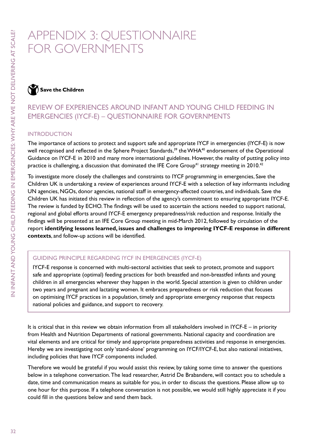## Appendix 3: Questionnaire for governments

 $\sum$  Save the Children

## Review of experiences around Infant and Young Child Feeding in Emergencies (IYCF-E) – Questionnaire for governments

#### **INTRODUCTION**

The importance of actions to protect and support safe and appropriate IYCF in emergencies (IYCF-E) is now well recognised and reflected in the Sphere Project Standards,<sup>39</sup> the WHA<sup>40</sup> endorsement of the Operational Guidance on IYCF-E in 2010 and many more international guidelines. However, the reality of putting policy into practice is challenging, a discussion that dominated the IFE Core Group<sup>41</sup> strategy meeting in 2010.<sup>42</sup>

To investigate more closely the challenges and constraints to IYCF programming in emergencies, Save the Children UK is undertaking a review of experiences around IYCF-E with a selection of key informants including UN agencies, NGOs, donor agencies, national staff in emergency-affected countries, and individuals. Save the Children UK has initiated this review in reflection of the agency's commitment to ensuring appropriate IYCF-E. The review is funded by ECHO. The findings will be used to ascertain the actions needed to support national, regional and global efforts around IYCF-E emergency preparedness/risk reduction and response. Initially the findings will be presented at an IFE Core Group meeting in mid-March 2012, followed by circulation of the report **identifying lessons learned, issues and challenges to improving IYCF-E response in different contexts**, and follow-up actions will be identified.

#### Guiding principle regarding IYCF in emergencies (IYCF-E)

IYCF-E response is concerned with multi-sectoral activities that seek to protect, promote and support safe and appropriate (optimal) feeding practices for both breastfed and non-breastfed infants and young children in all emergencies wherever they happen in the world. Special attention is given to children under two years and pregnant and lactating women. It embraces preparedness or risk reduction that focuses on optimising IYCF practices in a population, timely and appropriate emergency response that respects national policies and guidance, and support to recovery.

It is critical that in this review we obtain information from all stakeholders involved in IYCF-E – in priority from Health and Nutrition Departments of national governments. National capacity and coordination are vital elements and are critical for timely and appropriate preparedness activities and response in emergencies. Hereby we are investigating not only 'stand-alone' programming on IYCF/IYCF-E, but also national initiatives, including policies that have IYCF components included.

Therefore we would be grateful if you would assist this review, by taking some time to answer the questions below in a telephone conversation. The lead researcher, Astrid De Brabandere, will contact you to schedule a date, time and communication means as suitable for you, in order to discuss the questions. Please allow up to one hour for this purpose. If a telephone conversation is not possible, we would still highly appreciate it if you could fill in the questions below and send them back.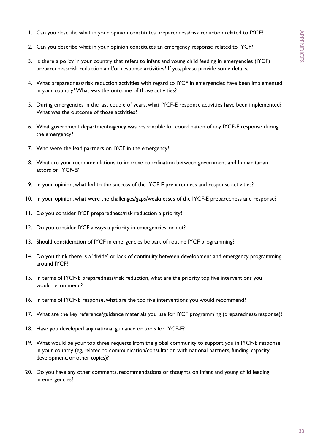- 1. Can you describe what in your opinion constitutes preparedness/risk reduction related to IYCF?
- 2. Can you describe what in your opinion constitutes an emergency response related to IYCF?
- 3. Is there a policy in your country that refers to infant and young child feeding in emergencies (IYCF) preparedness/risk reduction and/or response activities? If yes, please provide some details.
- 4. What preparedness/risk reduction activities with regard to IYCF in emergencies have been implemented in your country? What was the outcome of those activities?
- 5. During emergencies in the last couple of years, what IYCF-E response activities have been implemented? What was the outcome of those activities?
- 6. What government department/agency was responsible for coordination of any IYCF-E response during the emergency?
- 7. Who were the lead partners on IYCF in the emergency?
- 8. What are your recommendations to improve coordination between government and humanitarian actors on IYCF-E?
- 9. In your opinion, what led to the success of the IYCF-E preparedness and response activities?
- 10. In your opinion, what were the challenges/gaps/weaknesses of the IYCF-E preparedness and response?
- 11. Do you consider IYCF preparedness/risk reduction a priority?
- 12. Do you consider IYCF always a priority in emergencies, or not?
- 13. Should consideration of IYCF in emergencies be part of routine IYCF programming?
- 14. Do you think there is a 'divide' or lack of continuity between development and emergency programming around IYCF?
- 15. In terms of IYCF-E preparedness/risk reduction, what are the priority top five interventions you would recommend?
- 16. In terms of IYCF-E response, what are the top five interventions you would recommend?
- 17. What are the key reference/guidance materials you use for IYCF programming (preparedness/response)?
- 18. Have you developed any national guidance or tools for IYCF-E?
- 19. What would be your top three requests from the global community to support you in IYCF-E response in your country (eg, related to communication/consultation with national partners, funding, capacity development, or other topics)?
- 20. Do you have any other comments, recommendations or thoughts on infant and young child feeding in emergencies?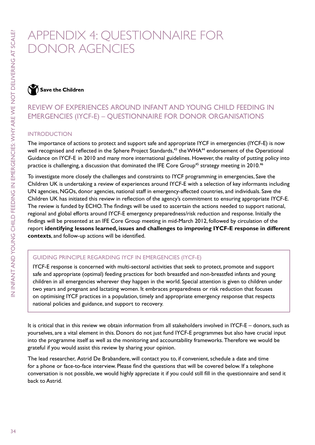## Appendix 4: Questionnaire for donor agencies

 $\bigwedge$  Save the Children

## Review of experiences around Infant and Young Child Feeding in Emergencies (IYCF-E) – Questionnaire for donor organisations

#### **INTRODUCTION**

The importance of actions to protect and support safe and appropriate IYCF in emergencies (IYCF-E) is now well recognised and reflected in the Sphere Project Standards,<sup>43</sup> the WHA<sup>44</sup> endorsement of the Operational Guidance on IYCF-E in 2010 and many more international guidelines. However, the reality of putting policy into practice is challenging, a discussion that dominated the IFE Core Group<sup>45</sup> strategy meeting in 2010.<sup>46</sup>

To investigate more closely the challenges and constraints to IYCF programming in emergencies, Save the Children UK is undertaking a review of experiences around IYCF-E with a selection of key informants including UN agencies, NGOs, donor agencies, national staff in emergency-affected countries, and individuals. Save the Children UK has initiated this review in reflection of the agency's commitment to ensuring appropriate IYCF-E. The review is funded by ECHO. The findings will be used to ascertain the actions needed to support national, regional and global efforts around IYCF-E emergency preparedness/risk reduction and response. Initially the findings will be presented at an IFE Core Group meeting in mid-March 2012, followed by circulation of the report **identifying lessons learned, issues and challenges to improving IYCF-E response in different contexts**, and follow-up actions will be identified.

#### Guiding principle regarding IYCF in emergencies (IYCF-E)

IYCF-E response is concerned with multi-sectoral activities that seek to protect, promote and support safe and appropriate (optimal) feeding practices for both breastfed and non-breastfed infants and young children in all emergencies wherever they happen in the world. Special attention is given to children under two years and pregnant and lactating women. It embraces preparedness or risk reduction that focuses on optimising IYCF practices in a population, timely and appropriate emergency response that respects national policies and guidance, and support to recovery.

It is critical that in this review we obtain information from all stakeholders involved in IYCF-E – donors, such as yourselves, are a vital element in this. Donors do not just fund IYCF-E programmes but also have crucial input into the programme itself as well as the monitoring and accountability frameworks. Therefore we would be grateful if you would assist this review by sharing your opinion.

The lead researcher, Astrid De Brabandere, will contact you to, if convenient, schedule a date and time for a phone or face-to-face interview. Please find the questions that will be covered below. If a telephone conversation is not possible, we would highly appreciate it if you could still fill in the questionnaire and send it back to Astrid.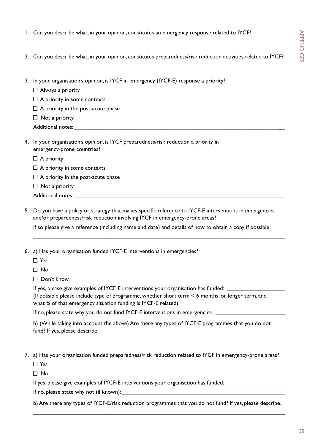1. Can you describe what, in your opinion, constitutes an emergency response related to IYCF?

 $\mathcal{L}_\text{max} = \frac{1}{2} \sum_{i=1}^{n} \frac{1}{2} \sum_{i=1}^{n} \frac{1}{2} \sum_{i=1}^{n} \frac{1}{2} \sum_{i=1}^{n} \frac{1}{2} \sum_{i=1}^{n} \frac{1}{2} \sum_{i=1}^{n} \frac{1}{2} \sum_{i=1}^{n} \frac{1}{2} \sum_{i=1}^{n} \frac{1}{2} \sum_{i=1}^{n} \frac{1}{2} \sum_{i=1}^{n} \frac{1}{2} \sum_{i=1}^{n} \frac{1}{2} \sum_{i=1}^{n} \frac{1$ 

| 2. Can you describe what, in your opinion, constitutes preparedness/risk reduction activities related to IYCF?                                                                          |
|-----------------------------------------------------------------------------------------------------------------------------------------------------------------------------------------|
| 3. In your organisation's opinion, is IYCF in emergency (IYCF-E) response a priority?<br>$\Box$ Always a priority                                                                       |
| $\Box$ A priority in some contexts                                                                                                                                                      |
| $\Box$ A priority in the post-acute phase                                                                                                                                               |
| $\Box$ Not a priority                                                                                                                                                                   |
|                                                                                                                                                                                         |
| 4. In your organisation's opinion, is IYCF preparedness/risk reduction a priority in<br>emergency-prone countries?                                                                      |
| $\Box$ A priority                                                                                                                                                                       |
| $\Box$ A priority in some contexts                                                                                                                                                      |
| $\Box$ A priority in the post-acute phase                                                                                                                                               |
| $\Box$ Not a priority                                                                                                                                                                   |
|                                                                                                                                                                                         |
| 5. Do you have a policy or strategy that makes specific reference to IYCF-E interventions in emergencies<br>and/or preparedness/risk reduction involving IYCF in emergency-prone areas? |
| If so please give a reference (including name and date) and details of how to obtain a copy if possible.                                                                                |
|                                                                                                                                                                                         |
| 6. a) Has your organisation funded IYCF-E interventions in emergencies?                                                                                                                 |

□ Yes

 $\Box$  No

 $\Box$  Don't know

If yes, please give examples of IYCF-E interventions your organisation has funded:

 (If possible please include type of programme, whether short term < 6 months, or longer term, and what % of that emergency situation funding is IYCF-E related).

If no, please state why you do not fund IYCF-E interventions in emergencies. \_\_\_\_\_\_\_\_\_\_

 b) (While taking into account the above) Are there any types of IYCF-E programmes that you do not fund? If yes, please describe.

\_\_\_\_\_\_\_\_\_\_\_\_\_\_\_\_\_\_\_\_\_\_\_\_\_\_\_\_\_\_\_\_\_\_\_\_\_\_\_\_\_\_\_\_\_\_\_\_\_\_\_\_\_\_\_\_\_\_\_\_\_\_\_\_\_\_\_\_\_\_\_\_\_\_\_\_\_\_\_\_\_\_\_\_\_\_\_\_\_\_\_\_\_\_\_\_\_\_\_\_\_\_\_\_\_\_

7. a) Has your organisation funded preparedness/risk reduction related to IYCF in emergency-prone areas?

□ Yes

 $\Box$  No

If yes, please give examples of IYCF-E interventions your organisation has funded: \_\_\_\_\_\_\_\_\_\_\_\_\_\_\_\_\_\_\_\_\_\_\_\_\_\_\_

If no, please state why not (if known): \_\_\_\_\_\_\_\_\_\_\_\_\_\_\_\_\_\_\_\_\_\_\_\_\_\_\_\_\_\_\_\_\_\_\_\_\_\_\_\_\_\_\_\_\_\_\_\_\_\_\_\_\_\_\_\_

b) Are there any types of IYCF-E/risk reduction programmes that you do not fund? If yes, please describe.

\_\_\_\_\_\_\_\_\_\_\_\_\_\_\_\_\_\_\_\_\_\_\_\_\_\_\_\_\_\_\_\_\_\_\_\_\_\_\_\_\_\_\_\_\_\_\_\_\_\_\_\_\_\_\_\_\_\_\_\_\_\_\_\_\_\_\_\_\_\_\_\_\_\_\_\_\_\_\_\_\_\_\_\_\_\_\_\_\_\_\_\_\_\_\_\_\_\_\_\_\_\_\_\_\_\_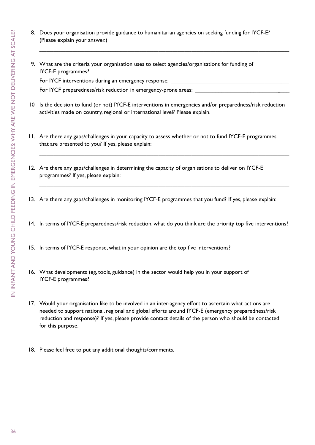8. Does your organisation provide guidance to humanitarian agencies on seeking funding for IYCF-E? (Please explain your answer.)

 $\mathcal{L}_\text{max}$  , and the set of the set of the set of the set of the set of the set of the set of the set of the set of the set of the set of the set of the set of the set of the set of the set of the set of the set of the

9. What are the criteria your organisation uses to select agencies/organisations for funding of IYCF-E programmes?

For IYCF interventions during an emergency response: \_\_\_\_\_\_\_\_\_\_\_\_\_\_\_\_\_\_\_\_\_\_\_\_\_\_\_

For IYCF preparedness/risk reduction in emergency-prone areas:

10 Is the decision to fund (or not) IYCF-E interventions in emergencies and/or preparedness/risk reduction activities made on country, regional or international level? Please explain.

 $\mathcal{L}_\text{max}$  , and the set of the set of the set of the set of the set of the set of the set of the set of the set of the set of the set of the set of the set of the set of the set of the set of the set of the set of the

 $\mathcal{L}_\text{max}$  , and the set of the set of the set of the set of the set of the set of the set of the set of the set of the set of the set of the set of the set of the set of the set of the set of the set of the set of the

 $\mathcal{L}_\text{max}$  , and the contract of the contract of the contract of the contract of the contract of the contract of the contract of the contract of the contract of the contract of the contract of the contract of the contr

- 11. Are there any gaps/challenges in your capacity to assess whether or not to fund IYCF-E programmes that are presented to you? If yes, please explain:
- 12. Are there any gaps/challenges in determining the capacity of organisations to deliver on IYCF-E programmes? If yes, please explain:
- 13. Are there any gaps/challenges in monitoring IYCF-E programmes that you fund? If yes, please explain:
- 14. In terms of IYCF-E preparedness/risk reduction, what do you think are the priority top five interventions?  $\mathcal{L}_\text{max}$  , and the set of the set of the set of the set of the set of the set of the set of the set of the set of the set of the set of the set of the set of the set of the set of the set of the set of the set of the

 $\mathcal{L}_\text{max}$  , and the set of the set of the set of the set of the set of the set of the set of the set of the set of the set of the set of the set of the set of the set of the set of the set of the set of the set of the

 $\mathcal{L}_\text{max}$  , and the set of the set of the set of the set of the set of the set of the set of the set of the set of the set of the set of the set of the set of the set of the set of the set of the set of the set of the

 $\mathcal{L}_\text{max}$  , and the set of the set of the set of the set of the set of the set of the set of the set of the set of the set of the set of the set of the set of the set of the set of the set of the set of the set of the

- 15. In terms of IYCF-E response, what in your opinion are the top five interventions?
- 16. What developments (eg, tools, guidance) in the sector would help you in your support of IYCF-E programmes?
- 17. Would your organisation like to be involved in an inter-agency effort to ascertain what actions are needed to support national, regional and global efforts around IYCF-E (emergency preparedness/risk reduction and response)? If yes, please provide contact details of the person who should be contacted for this purpose.

 $\mathcal{L}_\text{max}$  , and the set of the set of the set of the set of the set of the set of the set of the set of the set of the set of the set of the set of the set of the set of the set of the set of the set of the set of the

 $\mathcal{L}_\text{max}$  , and the set of the set of the set of the set of the set of the set of the set of the set of the set of the set of the set of the set of the set of the set of the set of the set of the set of the set of the

18. Please feel free to put any additional thoughts/comments.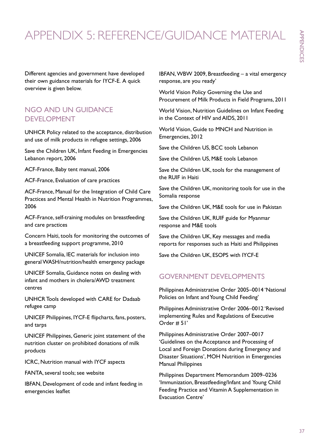## Appendix 5: reference/guidance material

Different agencies and government have developed their own guidance materials for IYCF-E. A quick overview is given below.

### NGO and UN guidance DEVELOPMENT

UNHCR Policy related to the acceptance, distribution and use of milk products in refugee settings, 2006

Save the Children UK, Infant Feeding in Emergencies Lebanon report, 2006

ACF-France, Baby tent manual, 2006

ACF-France, Evaluation of care practices

ACF-France, Manual for the Integration of Child Care Practices and Mental Health in Nutrition Programmes, 2006

ACF-France, self-training modules on breastfeeding and care practices

Concern Haiti, tools for monitoring the outcomes of a breastfeeding support programme, 2010

UNICEF Somalia, IEC materials for inclusion into general WASH/nutrition/health emergency package

UNICEF Somalia, Guidance notes on dealing with infant and mothers in cholera/AWD treatment centres

UNHCR Tools developed with CARE for Dadaab refugee camp

UNICEF Philippines, IYCF-E flipcharts, fans, posters, and tarps

UNICEF Philippines, Generic joint statement of the nutrition cluster on prohibited donations of milk products

ICRC, Nutrition manual with IYCF aspects

FANTA, several tools; see website

IBFAN, Development of code and infant feeding in emergencies leaflet

IBFAN, WBW 2009, Breastfeeding – a vital emergency response, are you ready'

World Vision Policy Governing the Use and Procurement of Milk Products in Field Programs, 2011

World Vision, Nutrition Guidelines on Infant Feeding in the Context of HIV and AIDS, 2011

World Vision, Guide to MNCH and Nutrition in Emergencies, 2012

Save the Children US, BCC tools Lebanon

Save the Children US, M&E tools Lebanon

Save the Children UK, tools for the management of the RUIF in Haiti

Save the Children UK, monitoring tools for use in the Somalia response

Save the Children UK, M&E tools for use in Pakistan

Save the Children UK, RUIF guide for Myanmar response and M&E tools

Save the Children UK, Key messages and media reports for responses such as Haiti and Philippines

Save the Children UK, ESOPS with IYCF-E

### Government developments

Philippines Administrative Order 2005–0014 'National Policies on Infant and Young Child Feeding'

Philippines Administrative Order 2006–0012 'Revised implementing Rules and Regulations of Executive Order # 51'

Philippines Administrative Order 2007–0017 'Guidelines on the Acceptance and Processing of Local and Foreign Donations during Emergency and Disaster Situations', MOH Nutrition in Emergencies Manual Philippines

Philippines Department Memorandum 2009–0236 'Immunization, Breastfeeding/Infant and Young Child Feeding Practice and Vitamin A Supplementation in Evacuation Centre'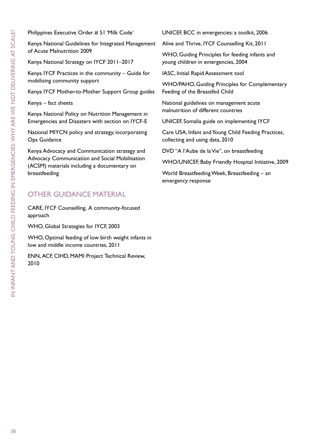Philippines Executive Order # 51 'Milk Code'

Kenya National Guidelines for Integrated Management of Acute Malnutrition 2009

Kenya National Strategy on IYCF 2011–2017

Kenya IYCF Practices in the community – Guide for mobilising community support

Kenya IYCF Mother-to-Mother Support Group guides

Kenya – fact sheets

Kenya National Policy on Nutrition Management in Emergencies and Disasters with section on IYCF-E

National MIYCN policy and strategy, incorporating Ops Guidance

Kenya Advocacy and Communication strategy and Advocacy Communication and Social Mobilisation (ACSM) materials including a documentary on breastfeeding

### **OTHER GUIDANCE MATERIAL**

CARE, IYCF Counselling, A community-focused approach

WHO, Global Strategies for IYCF, 2003

WHO, Optimal feeding of low birth weight infants in low and middle income countries, 2011

ENN, ACF, CIHD, MAMI Project Technical Review, 2010

UNICEF, BCC in emergencies: a toolkit, 2006

Alive and Thrive, IYCF Counselling Kit, 2011

WHO, Guiding Principles for feeding infants and young children in emergencies, 2004

IASC, Initial Rapid Assessment tool

WHO/PAHO, Guiding Principles for Complementary Feeding of the Breastfed Child

National guidelines on management acute malnutrition of different countries

UNICEF, Somalia guide on implementing IYCF

Care USA, Infant and Young Child Feeding Practices, collecting and using data, 2010

DVD "A l'Aube de la Vie", on breastfeeding

WHO/UNICEF, Baby Friendly Hospital Initiative, 2009

World Breastfeeding Week, Breastfeeding – an emergency response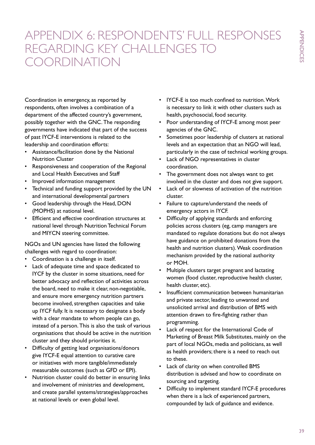## Appendix 6: Respondents' full responses regarding key challenges to coordination

Coordination in emergency, as reported by respondents, often involves a combination of a department of the affected country's government, possibly together with the GNC. The responding governments have indicated that part of the success of past IYCF-E interventions is related to the leadership and coordination efforts:

- • Assistance/facilitation done by the National Nutrition Cluster
- • Responsiveness and cooperation of the Regional and Local Health Executives and Staff
- • Improved information management
- Technical and funding support provided by the UN and international developmental partners
- • Good leadership through the Head, DON (MOPHS) at national level.
- Efficient and effective coordination structures at national level through Nutrition Technical Forum and MIYCN steering committee.

NGOs and UN agencies have listed the following challenges with regard to coordination:

- • Coordination is a challenge in itself.
- Lack of adequate time and space dedicated to IYCF by the cluster in some situations, need for better advocacy and reflection of activities across the board, need to make it clear, non-negotiable, and ensure more emergency nutrition partners become involved, strengthen capacities and take up IYCF fully. It is necessary to designate a body with a clear mandate to whom people can go, instead of a person. This is also the task of various organisations that should be active in the nutrition cluster and they should priorities it.
- Difficulty of getting lead organisations/donors give IYCF-E equal attention to curative care or initiatives with more tangible/immediately measurable outcomes (such as GFD or EPI).
- Nutrition cluster could do better in ensuring links and involvement of ministries and development, and create parallel systems/strategies/approaches at national levels or even global level.
- IYCF-E is too much confined to nutrition. Work is necessary to link it with other clusters such as health, psychosocial, food security.
- • Poor understanding of IYCF-E among most peer agencies of the GNC.
- • Sometimes poor leadership of clusters at national levels and an expectation that an NGO will lead, particularly in the case of technical working groups.
- Lack of NGO representatives in cluster coordination.
- The government does not always want to get involved in the cluster and does not give support.
- Lack of or slowness of activation of the nutrition cluster.
- • Failure to capture/understand the needs of emergency actors in IYCF.
- Difficulty of applying standards and enforcing policies across clusters (eg, camp managers are mandated to regulate donations but do not always have guidance on prohibited donations from the health and nutrition clusters). Weak coordination mechanism provided by the national authority or MOH.
- Multiple clusters target pregnant and lactating women (food cluster, reproductive health cluster, health cluster, etc).
- Insufficient communication between humanitarian and private sector, leading to unwanted and unsolicited arrival and distribution of BMS with attention drawn to fire-fighting rather than programming.
- Lack of respect for the International Code of Marketing of Breast Milk Substitutes, mainly on the part of local NGOs, media and politicians, as well as health providers; there is a need to reach out to these.
- • Lack of clarity on when controlled BMS distribution is advised and how to coordinate on sourcing and targeting.
- Difficulty to implement standard IYCF-E procedures when there is a lack of experienced partners, compounded by lack of guidance and evidence.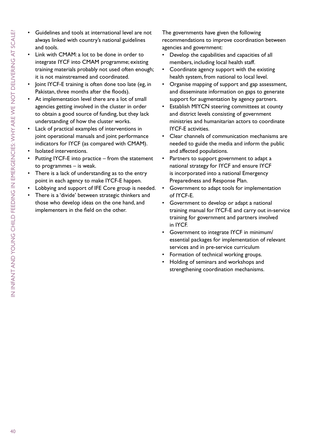- - Guidelines and tools at international level are not always linked with country's national guidelines and tools.
	- Link with CMAM: a lot to be done in order to integrate IYCF into CMAM programme; existing training materials probably not used often enough; it is not mainstreamed and coordinated.
	- loint IYCF-E training is often done too late (eg, in Pakistan, three months after the floods).
	- At implementation level there are a lot of small agencies getting involved in the cluster in order to obtain a good source of funding, but they lack understanding of how the cluster works.
	- Lack of practical examples of interventions in joint operational manuals and joint performance indicators for IYCF (as compared with CMAM).
	- Isolated interventions.
	- Putting IYCF-E into practice  $-$  from the statement to programmes – is weak.
	- There is a lack of understanding as to the entry point in each agency to make IYCF-E happen.
	- Lobbying and support of IFE Core group is needed.
	- There is a 'divide' between strategic thinkers and those who develop ideas on the one hand, and implementers in the field on the other.

The governments have given the following recommendations to improve coordination between agencies and government:

- • Develop the capabilities and capacities of all members, including local health staff.
- Coordinate agency support with the existing health system, from national to local level.
- • Organise mapping of support and gap assessment, and disseminate information on gaps to generate support for augmentation by agency partners.
- Establish MIYCN steering committees at county and district levels consisting of government ministries and humanitarian actors to coordinate IYCF-E activities.
- Clear channels of communication mechanisms are needed to guide the media and inform the public and affected populations.
- Partners to support government to adapt a national strategy for IYCF and ensure IYCF is incorporated into a national Emergency Preparedness and Response Plan.
- Government to adapt tools for implementation of IYCF-E.
- Government to develop or adapt a national training manual for IYCF-E and carry out in-service training for government and partners involved in IYCF.
- Government to integrate IYCF in minimum/ essential packages for implementation of relevant services and in pre-service curriculum
- Formation of technical working groups.
- Holding of seminars and workshops and strengthening coordination mechanisms.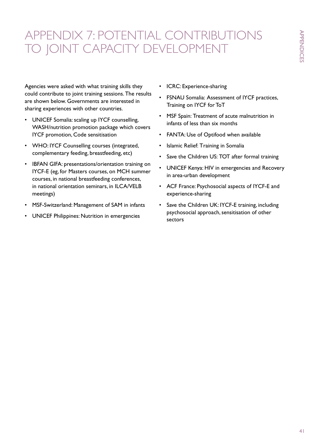## Appendix 7: Potential contributions to joint capacity development

Agencies were asked with what training skills they could contribute to joint training sessions. The results are shown below. Governments are interested in sharing experiences with other countries.

- UNICEF Somalia: scaling up IYCF counselling, WASH/nutrition promotion package which covers IYCF promotion, Code sensitisation
- WHO: IYCF Counselling courses (integrated, complementary feeding, breastfeeding, etc)
- • IBFAN GIFA: presentations/orientation training on IYCF-E (eg, for Masters courses, on MCH summer courses, in national breastfeeding conferences, in national orientation seminars, in ILCA/VELB meetings)
- MSF-Switzerland: Management of SAM in infants
- UNICEF Philippines: Nutrition in emergencies
- • ICRC: Experience-sharing
- • FSNAU Somalia: Assessment of IYCF practices, Training on IYCF for ToT
- • MSF Spain: Treatment of acute malnutrition in infants of less than six months
- • FANTA: Use of Optifood when available
- Islamic Relief: Training in Somalia
- Save the Children US: TOT after formal training
- UNICEF Kenya: HIV in emergencies and Recovery in area-urban development
- • ACF France: Psychosocial aspects of IYCF-E and experience-sharing
- • Save the Children UK: IYCF-E training, including psychosocial approach, sensitisation of other sectors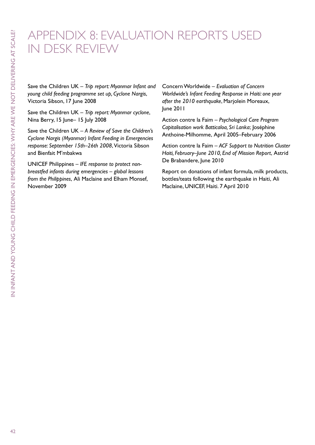## Appendix 8: Evaluation reports used in desk review

Save the Children UK – *Trip report: Myanmar Infant and young child feeding programme set up, Cyclone Nargis*, Victoria Sibson, 17 June 2008

Save the Children UK – *Trip report: Myanmar cyclone*, Nina Berry, 15 June– 15 July 2008

Save the Children UK – *A Review of Save the Children's Cyclone Nargis (Myanmar) Infant Feeding in Emergencies response: September 15th–26th 2008*, Victoria Sibson and Bienfait M'mbakwa

UNICEF Philippines – *IFE response to protect nonbreastfed infants during emergencies – global lessons from the Philippines*, Ali Maclaine and Elham Monsef, November 2009

Concern Worldwide – *Evaluation of Concern Worldwide's Infant Feeding Response in Haiti: one year after the 2010 earthquake*, Marjolein Moreaux, June 2011

Action contre la Faim – *Psychological Care Program Capitalisation work Batticaloa, Sri Lanka*; Joséphine Anthoine-Milhomme, April 2005–February 2006

Action contre la Faim – *ACF Support to Nutrition Cluster Haiti, February–June 2010, End of Mission Report*, Astrid De Brabandere, June 2010

Report on donations of infant formula, milk products, bottles/teats following the earthquake in Haiti, Ali Maclaine, UNICEF, Haiti. 7 April 2010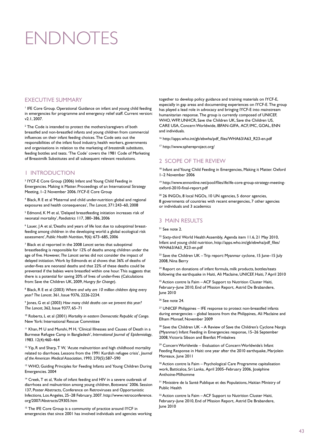# **ENDNOTES**

#### *EXECUTIVE SUMMARY*

<sup>1</sup> IFE Core Group. Operational Guidance on infant and young child feeding in emergencies for programme and emergency relief staff. Current version: v2.1, 2007.

 $2$  The Code is intended to protect the mothers/caregivers of both breastfed and non-breastfed infants and young children from commercial influences on their infant feeding choices. The Code sets out the responsibilities of the infant food industry, health workers, governments and organisations in relation to the marketing of *breastmilk substitutes*, feeding bottles and teats. 'The Code' covers the 1981 Code of Marketing of Breastmilk Substitutes and all subsequent relevant resolutions.

#### 1 Introduction

<sup>3</sup> IYCF-E Core Group (2006) Infant and Young Child Feeding in Emergencies. Making it Matter. Proceedings of an International Strategy Meeting, 1–2 November 2006. IYCF-E Core Group

4 Black, R E et al 'Maternal and child under-nutrition: global and regional exposures and health consequences', *The Lancet*, 371:243–60, 2008

<sup>5</sup> Edmond, K M et al, 'Delayed breastfeeding initiation increases risk of neonatal mortality', *Paediatrics* 117, 380–386, 2006

<sup>6</sup> Lauer, J A et al, 'Deaths and years of life lost due to suboptimal breastfeeding among children in the developing world: a global ecological risk assessment', *Public Health Nutrition*, 9(6): 673–685, 2006

7 Black et al reported in the 2008 *Lancet* series that suboptimal breastfeeding is responsible for 12% of deaths among children under the age of five. However, *The Lancet* series did not consider the impact of delayed initiation. Work by Edmonds et al shows that 36% of deaths of under-fives are neonatal deaths and that 22% of these deaths could be prevented if the babies were breastfed within one hour. This suggests that there is a potential for saving 20% of lives of under-fives (Calculations from: Save the Children UK, 2009, *Hungry for Change*).

8 Black, R E et al (2003) *Where and why are 10 million children dying every year? The Lancet*. 361, Issue 9376, 2226-2234.

9 Jones, G et al (2003) *How many child deaths can we prevent this year? The Lancet*, 362, Issue 9377, 65–71

10 Roberts, L et al (2001) *Mortality in eastern Democratic Republic of Congo*. New York: International Rescue Committee

<sup>11</sup> Khan, M U and Munshi, M H, 'Clinical Illnesses and Causes of Death in a Burmese Refugee Camp in Bangladesh', *International Journal of Epidemiology*, 1983. 12(4):460–464

<sup>12</sup> Yip, R and Sharp, T W, 'Acute malnutrition and high childhood mortality related to diarrhoea. Lessons from the 1991 Kurdish refugee crisis', *Journal of the American Medical Association*, 1993. 270(5):587–590

<sup>13</sup> WHO, Guiding Principles for Feeding Infants and Young Children During Emergencies. 2004

<sup>14</sup> Creek, T et al, 'Role of infant feeding and HIV in a severe outbreak of diarrhoea and malnutrition among young children, Botswana' 2006. Session 137, Poster Abstracts, Conference on Retroviruses and Opportunistic Infections, Los Angeles, 25–28 February, 2007. http://www.retroconference. org/2007/Abstracts/29305.htm

<sup>15</sup> The IFE Core Group is a community of practice around IYCF in emergencies that since 2001 has involved individuals and agencies working

together to develop policy guidance and training materials on IYCF-E, especially in gap areas and documenting experiences on IYCF-E. The group has played a lead role in advocacy and bringing IYCF-E into mainstream humanitarian response. The group is currently composed of UNICEF, WHO, WFP, UNHCR, Save the Children UK, Save the Children US, CARE USA, Concern Worldwide, IBFAN-GIFA, ACF, IMC, GOAL, ENN and individuals.

16 http://apps.who.int/gb/ebwha/pdf\_files/WHA63/A63\_R23-en.pdf

17 http://www.sphereproject.org/

#### 2 Scope of the review

<sup>18</sup> Infant and Young Child Feeding in Emergencies, Making it Matter. Oxford 1–2 November 2006

19 http://www.ennonline.net/pool/files/ife/ife-core-group-strategy-meetingoxford-2010-final-report.pdf

20 26 INGOs, 8 local NGOs, 10 UN agencies, 5 donor agencies, 8 governments of countries with recent emergencies, 7 other agencies or individuals and 3 academics

#### 3 MAIN RESULTS

 $21$  See note  $2$ .

<sup>22</sup> Sixty-third World Health Assembly, Agenda item 11.6, 21 May 2010, Infant and young child nutrition, http://apps.who.int/gb/ebwha/pdf\_files/ WHA63/A63\_R23-en.pdf

<sup>23</sup> Save the Children UK – Trip report: Myanmar cyclone, 15 June–15 July 2008, Nina Berry

<sup>24</sup> Report on donations of infant formula, milk products, bottles/teats following the earthquake in Haiti, Ali Maclaine, UNICEF, Haiti, 7 April 2010

 $25$  Action contre la Faim  $-$  ACF Support to Nutrition Cluster Haiti, February–June 2010, End of Mission Report, Astrid De Brabandere, June 2010

 $26$  See note  $24$ 

 $27$  UNICEF Philippines  $-$  IFE response to protect non-breastfed infants during emergencies – global lessons from the Philippines, Ali Maclaine and Elham Monsef, November 2009

 $28$  Save the Children UK - A Review of Save the Children's Cyclone Nargis (Myanmar) Infant Feeding in Emergencies response, 15–26 September 2008, Victoria Sibson and Bienfait M'mbakwa

<sup>29</sup> Concern Worldwide – Evaluation of Concern Worldwide's Infant Feeding Response in Haiti: one year after the 2010 earthquake, Marjolein Moreaux, June 2011

<sup>30</sup> Action contre la Faim – Psychological Care Programme capitalisation work, Batticaloa, Sri Lanka, April 2005–February 2006, Joséphine Anthoine-Milhomme

31 Ministère de la Santé Publique et des Populations, Haitian Ministry of Public Health

<sup>32</sup> Action contre la Faim - ACF Support to Nutrition Cluster Haiti, February–June 2010, End of Mission Report, Astrid De Brabandere, June 2010